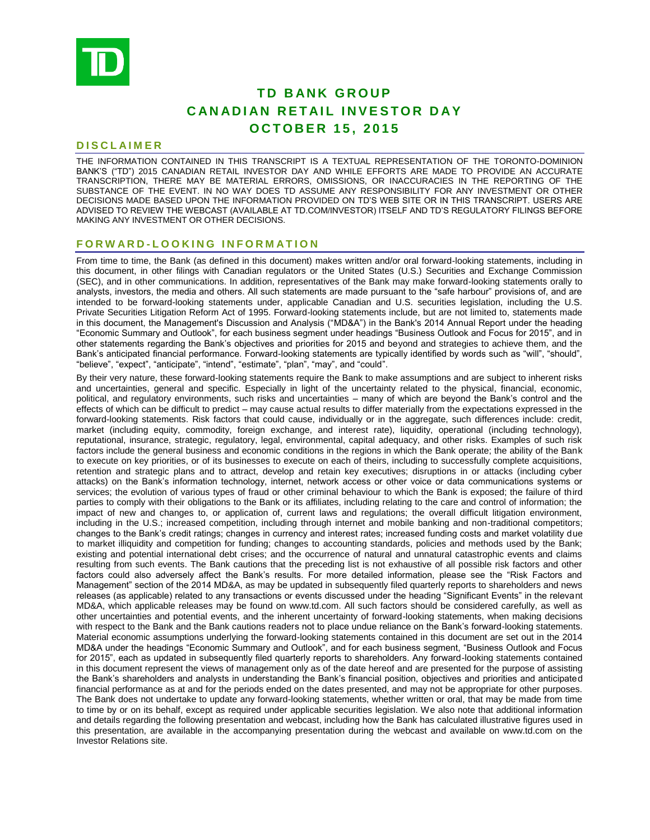

# **TD BANK GROUP CANADIAN RETAIL INVESTOR DAY O C T O B E R 1 5 , 2 0 1 5**

# **D I S C L A I M E R**

THE INFORMATION CONTAINED IN THIS TRANSCRIPT IS A TEXTUAL REPRESENTATION OF THE TORONTO-DOMINION BANK'S ("TD") 2015 CANADIAN RETAIL INVESTOR DAY AND WHILE EFFORTS ARE MADE TO PROVIDE AN ACCURATE TRANSCRIPTION, THERE MAY BE MATERIAL ERRORS, OMISSIONS, OR INACCURACIES IN THE REPORTING OF THE SUBSTANCE OF THE EVENT. IN NO WAY DOES TD ASSUME ANY RESPONSIBILITY FOR ANY INVESTMENT OR OTHER DECISIONS MADE BASED UPON THE INFORMATION PROVIDED ON TD'S WEB SITE OR IN THIS TRANSCRIPT. USERS ARE ADVISED TO REVIEW THE WEBCAST (AVAILABLE AT TD.COM/INVESTOR) ITSELF AND TD'S REGULATORY FILINGS BEFORE MAKING ANY INVESTMENT OR OTHER DECISIONS.

# **F O R W A R D - L O O K I N G I N F O R M A T I O N**

From time to time, the Bank (as defined in this document) makes written and/or oral forward-looking statements, including in this document, in other filings with Canadian regulators or the United States (U.S.) Securities and Exchange Commission (SEC), and in other communications. In addition, representatives of the Bank may make forward-looking statements orally to analysts, investors, the media and others. All such statements are made pursuant to the "safe harbour" provisions of, and are intended to be forward-looking statements under, applicable Canadian and U.S. securities legislation, including the U.S. Private Securities Litigation Reform Act of 1995. Forward-looking statements include, but are not limited to, statements made in this document, the Management's Discussion and Analysis ("MD&A") in the Bank's 2014 Annual Report under the heading "Economic Summary and Outlook", for each business segment under headings "Business Outlook and Focus for 2015", and in other statements regarding the Bank's objectives and priorities for 2015 and beyond and strategies to achieve them, and the Bank's anticipated financial performance. Forward-looking statements are typically identified by words such as "will", "should", "believe", "expect", "anticipate", "intend", "estimate", "plan", "may", and "could".

By their very nature, these forward-looking statements require the Bank to make assumptions and are subject to inherent risks and uncertainties, general and specific. Especially in light of the uncertainty related to the physical, financial, economic, political, and regulatory environments, such risks and uncertainties – many of which are beyond the Bank's control and the effects of which can be difficult to predict – may cause actual results to differ materially from the expectations expressed in the forward-looking statements. Risk factors that could cause, individually or in the aggregate, such differences include: credit, market (including equity, commodity, foreign exchange, and interest rate), liquidity, operational (including technology), reputational, insurance, strategic, regulatory, legal, environmental, capital adequacy, and other risks. Examples of such risk factors include the general business and economic conditions in the regions in which the Bank operate; the ability of the Bank to execute on key priorities, or of its businesses to execute on each of theirs, including to successfully complete acquisitions, retention and strategic plans and to attract, develop and retain key executives; disruptions in or attacks (including cyber attacks) on the Bank's information technology, internet, network access or other voice or data communications systems or services; the evolution of various types of fraud or other criminal behaviour to which the Bank is exposed; the failure of third parties to comply with their obligations to the Bank or its affiliates, including relating to the care and control of information; the impact of new and changes to, or application of, current laws and regulations; the overall difficult litigation environment, including in the U.S.; increased competition, including through internet and mobile banking and non-traditional competitors; changes to the Bank's credit ratings; changes in currency and interest rates; increased funding costs and market volatility due to market illiquidity and competition for funding; changes to accounting standards, policies and methods used by the Bank; existing and potential international debt crises; and the occurrence of natural and unnatural catastrophic events and claims resulting from such events. The Bank cautions that the preceding list is not exhaustive of all possible risk factors and other factors could also adversely affect the Bank's results. For more detailed information, please see the "Risk Factors and Management" section of the 2014 MD&A, as may be updated in subsequently filed quarterly reports to shareholders and news releases (as applicable) related to any transactions or events discussed under the heading "Significant Events" in the relevant MD&A, which applicable releases may be found on www.td.com. All such factors should be considered carefully, as well as other uncertainties and potential events, and the inherent uncertainty of forward-looking statements, when making decisions with respect to the Bank and the Bank cautions readers not to place undue reliance on the Bank's forward-looking statements. Material economic assumptions underlying the forward-looking statements contained in this document are set out in the 2014 MD&A under the headings "Economic Summary and Outlook", and for each business segment, "Business Outlook and Focus for 2015", each as updated in subsequently filed quarterly reports to shareholders. Any forward-looking statements contained in this document represent the views of management only as of the date hereof and are presented for the purpose of assisting the Bank's shareholders and analysts in understanding the Bank's financial position, objectives and priorities and anticipated financial performance as at and for the periods ended on the dates presented, and may not be appropriate for other purposes. The Bank does not undertake to update any forward-looking statements, whether written or oral, that may be made from time to time by or on its behalf, except as required under applicable securities legislation. We also note that additional information and details regarding the following presentation and webcast, including how the Bank has calculated illustrative figures used in this presentation, are available in the accompanying presentation during the webcast and available on www.td.com on the Investor Relations site.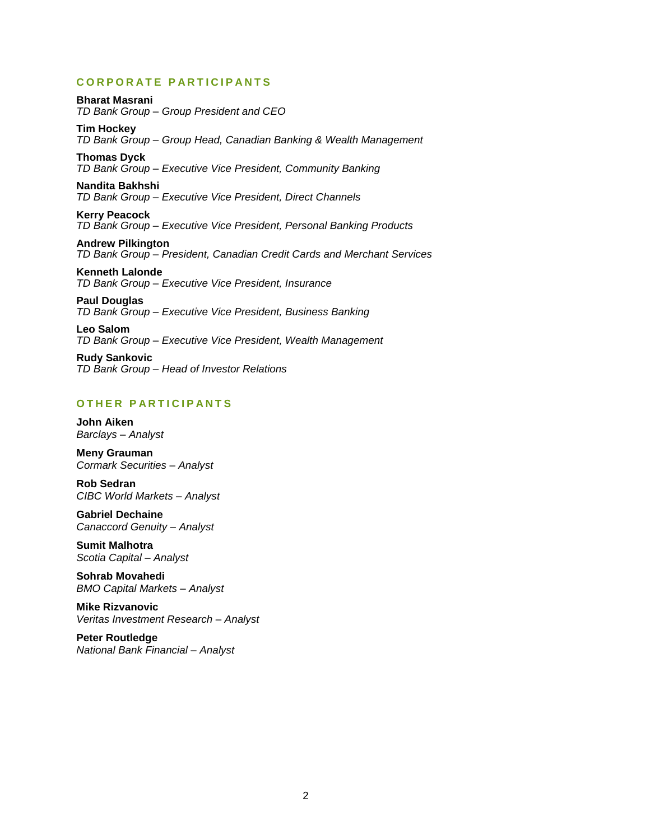# **C O R P O R A T E P A R T I C I P A N T S**

**Bharat Masrani** *TD Bank Group – Group President and CEO*

**Tim Hockey** *TD Bank Group – Group Head, Canadian Banking & Wealth Management*

**Thomas Dyck**

*TD Bank Group – Executive Vice President, Community Banking*

# **Nandita Bakhshi**

*TD Bank Group – Executive Vice President, Direct Channels*

**Kerry Peacock** *TD Bank Group – Executive Vice President, Personal Banking Products*

**Andrew Pilkington** *TD Bank Group – President, Canadian Credit Cards and Merchant Services*

**Kenneth Lalonde** *TD Bank Group – Executive Vice President, Insurance*

**Paul Douglas** *TD Bank Group – Executive Vice President, Business Banking*

**Leo Salom** *TD Bank Group – Executive Vice President, Wealth Management*

**Rudy Sankovic** *TD Bank Group – Head of Investor Relations*

# **O T H E R P A R T I C I P A N T S**

**John Aiken** *Barclays – Analyst*

**Meny Grauman** *Cormark Securities – Analyst*

**Rob Sedran** *CIBC World Markets – Analyst*

**Gabriel Dechaine** *Canaccord Genuity – Analyst* 

**Sumit Malhotra** *Scotia Capital – Analyst*

**Sohrab Movahedi** *BMO Capital Markets – Analyst*

**Mike Rizvanovic** *Veritas Investment Research – Analyst* 

**Peter Routledge** *National Bank Financial – Analyst*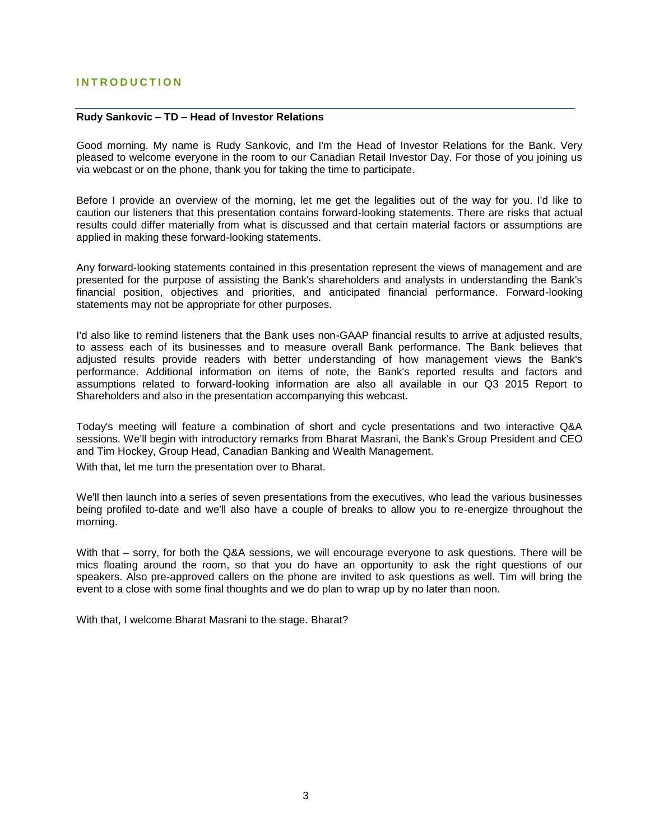# **I N T R O D U C T I O N**

# **Rudy Sankovic – TD – Head of Investor Relations**

Good morning. My name is Rudy Sankovic, and I'm the Head of Investor Relations for the Bank. Very pleased to welcome everyone in the room to our Canadian Retail Investor Day. For those of you joining us via webcast or on the phone, thank you for taking the time to participate.

Before I provide an overview of the morning, let me get the legalities out of the way for you. I'd like to caution our listeners that this presentation contains forward-looking statements. There are risks that actual results could differ materially from what is discussed and that certain material factors or assumptions are applied in making these forward-looking statements.

Any forward-looking statements contained in this presentation represent the views of management and are presented for the purpose of assisting the Bank's shareholders and analysts in understanding the Bank's financial position, objectives and priorities, and anticipated financial performance. Forward-looking statements may not be appropriate for other purposes.

I'd also like to remind listeners that the Bank uses non-GAAP financial results to arrive at adjusted results, to assess each of its businesses and to measure overall Bank performance. The Bank believes that adjusted results provide readers with better understanding of how management views the Bank's performance. Additional information on items of note, the Bank's reported results and factors and assumptions related to forward-looking information are also all available in our Q3 2015 Report to Shareholders and also in the presentation accompanying this webcast.

Today's meeting will feature a combination of short and cycle presentations and two interactive Q&A sessions. We'll begin with introductory remarks from Bharat Masrani, the Bank's Group President and CEO and Tim Hockey, Group Head, Canadian Banking and Wealth Management.

With that, let me turn the presentation over to Bharat.

We'll then launch into a series of seven presentations from the executives, who lead the various businesses being profiled to-date and we'll also have a couple of breaks to allow you to re-energize throughout the morning.

With that – sorry, for both the Q&A sessions, we will encourage everyone to ask questions. There will be mics floating around the room, so that you do have an opportunity to ask the right questions of our speakers. Also pre-approved callers on the phone are invited to ask questions as well. Tim will bring the event to a close with some final thoughts and we do plan to wrap up by no later than noon.

With that, I welcome Bharat Masrani to the stage. Bharat?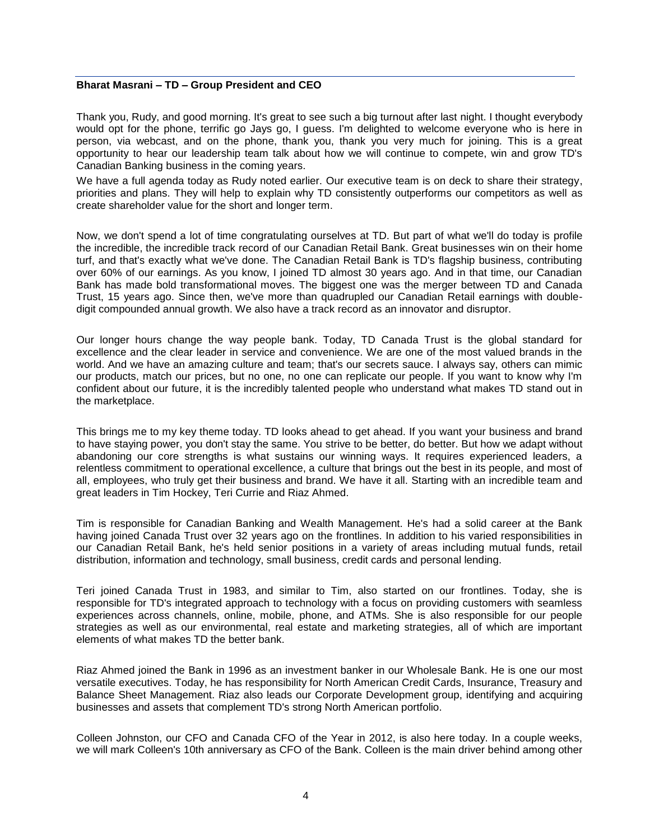# **Bharat Masrani – TD – Group President and CEO**

Thank you, Rudy, and good morning. It's great to see such a big turnout after last night. I thought everybody would opt for the phone, terrific go Jays go, I guess. I'm delighted to welcome everyone who is here in person, via webcast, and on the phone, thank you, thank you very much for joining. This is a great opportunity to hear our leadership team talk about how we will continue to compete, win and grow TD's Canadian Banking business in the coming years.

We have a full agenda today as Rudy noted earlier. Our executive team is on deck to share their strategy, priorities and plans. They will help to explain why TD consistently outperforms our competitors as well as create shareholder value for the short and longer term.

Now, we don't spend a lot of time congratulating ourselves at TD. But part of what we'll do today is profile the incredible, the incredible track record of our Canadian Retail Bank. Great businesses win on their home turf, and that's exactly what we've done. The Canadian Retail Bank is TD's flagship business, contributing over 60% of our earnings. As you know, I joined TD almost 30 years ago. And in that time, our Canadian Bank has made bold transformational moves. The biggest one was the merger between TD and Canada Trust, 15 years ago. Since then, we've more than quadrupled our Canadian Retail earnings with doubledigit compounded annual growth. We also have a track record as an innovator and disruptor.

Our longer hours change the way people bank. Today, TD Canada Trust is the global standard for excellence and the clear leader in service and convenience. We are one of the most valued brands in the world. And we have an amazing culture and team; that's our secrets sauce. I always say, others can mimic our products, match our prices, but no one, no one can replicate our people. If you want to know why I'm confident about our future, it is the incredibly talented people who understand what makes TD stand out in the marketplace.

This brings me to my key theme today. TD looks ahead to get ahead. If you want your business and brand to have staying power, you don't stay the same. You strive to be better, do better. But how we adapt without abandoning our core strengths is what sustains our winning ways. It requires experienced leaders, a relentless commitment to operational excellence, a culture that brings out the best in its people, and most of all, employees, who truly get their business and brand. We have it all. Starting with an incredible team and great leaders in Tim Hockey, Teri Currie and Riaz Ahmed.

Tim is responsible for Canadian Banking and Wealth Management. He's had a solid career at the Bank having joined Canada Trust over 32 years ago on the frontlines. In addition to his varied responsibilities in our Canadian Retail Bank, he's held senior positions in a variety of areas including mutual funds, retail distribution, information and technology, small business, credit cards and personal lending.

Teri joined Canada Trust in 1983, and similar to Tim, also started on our frontlines. Today, she is responsible for TD's integrated approach to technology with a focus on providing customers with seamless experiences across channels, online, mobile, phone, and ATMs. She is also responsible for our people strategies as well as our environmental, real estate and marketing strategies, all of which are important elements of what makes TD the better bank.

Riaz Ahmed joined the Bank in 1996 as an investment banker in our Wholesale Bank. He is one our most versatile executives. Today, he has responsibility for North American Credit Cards, Insurance, Treasury and Balance Sheet Management. Riaz also leads our Corporate Development group, identifying and acquiring businesses and assets that complement TD's strong North American portfolio.

Colleen Johnston, our CFO and Canada CFO of the Year in 2012, is also here today. In a couple weeks, we will mark Colleen's 10th anniversary as CFO of the Bank. Colleen is the main driver behind among other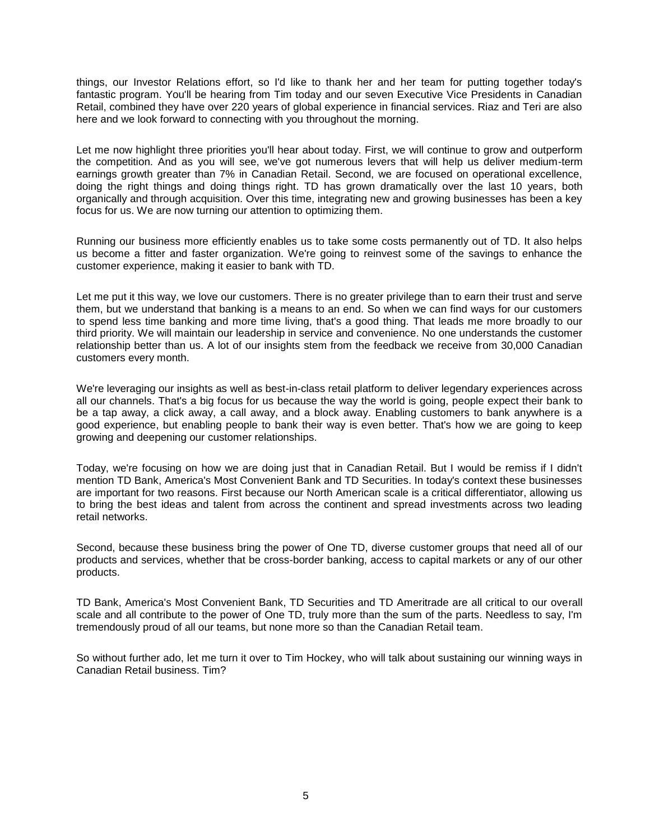things, our Investor Relations effort, so I'd like to thank her and her team for putting together today's fantastic program. You'll be hearing from Tim today and our seven Executive Vice Presidents in Canadian Retail, combined they have over 220 years of global experience in financial services. Riaz and Teri are also here and we look forward to connecting with you throughout the morning.

Let me now highlight three priorities you'll hear about today. First, we will continue to grow and outperform the competition. And as you will see, we've got numerous levers that will help us deliver medium-term earnings growth greater than 7% in Canadian Retail. Second, we are focused on operational excellence, doing the right things and doing things right. TD has grown dramatically over the last 10 years, both organically and through acquisition. Over this time, integrating new and growing businesses has been a key focus for us. We are now turning our attention to optimizing them.

Running our business more efficiently enables us to take some costs permanently out of TD. It also helps us become a fitter and faster organization. We're going to reinvest some of the savings to enhance the customer experience, making it easier to bank with TD.

Let me put it this way, we love our customers. There is no greater privilege than to earn their trust and serve them, but we understand that banking is a means to an end. So when we can find ways for our customers to spend less time banking and more time living, that's a good thing. That leads me more broadly to our third priority. We will maintain our leadership in service and convenience. No one understands the customer relationship better than us. A lot of our insights stem from the feedback we receive from 30,000 Canadian customers every month.

We're leveraging our insights as well as best-in-class retail platform to deliver legendary experiences across all our channels. That's a big focus for us because the way the world is going, people expect their bank to be a tap away, a click away, a call away, and a block away. Enabling customers to bank anywhere is a good experience, but enabling people to bank their way is even better. That's how we are going to keep growing and deepening our customer relationships.

Today, we're focusing on how we are doing just that in Canadian Retail. But I would be remiss if I didn't mention TD Bank, America's Most Convenient Bank and TD Securities. In today's context these businesses are important for two reasons. First because our North American scale is a critical differentiator, allowing us to bring the best ideas and talent from across the continent and spread investments across two leading retail networks.

Second, because these business bring the power of One TD, diverse customer groups that need all of our products and services, whether that be cross-border banking, access to capital markets or any of our other products.

TD Bank, America's Most Convenient Bank, TD Securities and TD Ameritrade are all critical to our overall scale and all contribute to the power of One TD, truly more than the sum of the parts. Needless to say, I'm tremendously proud of all our teams, but none more so than the Canadian Retail team.

So without further ado, let me turn it over to Tim Hockey, who will talk about sustaining our winning ways in Canadian Retail business. Tim?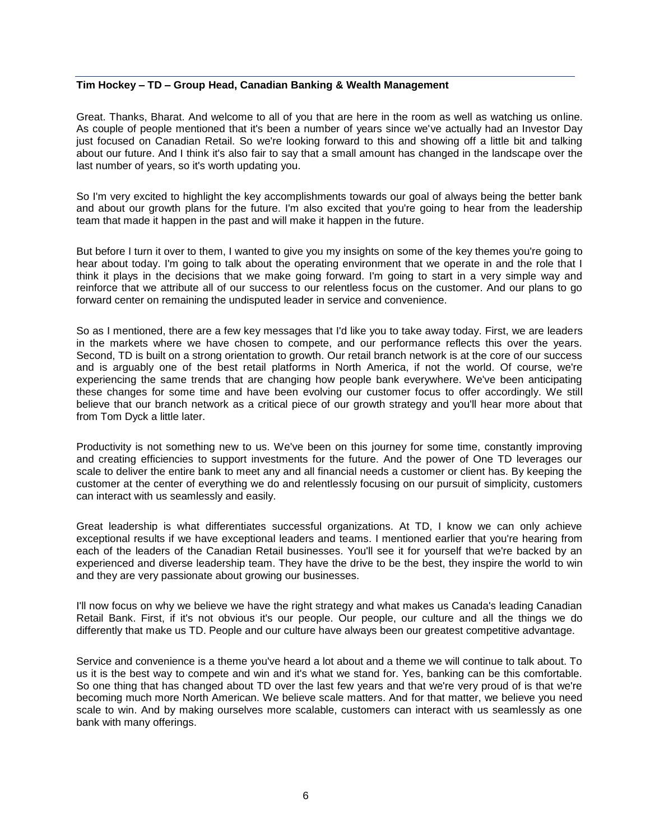# **Tim Hockey – TD – Group Head, Canadian Banking & Wealth Management**

Great. Thanks, Bharat. And welcome to all of you that are here in the room as well as watching us online. As couple of people mentioned that it's been a number of years since we've actually had an Investor Day just focused on Canadian Retail. So we're looking forward to this and showing off a little bit and talking about our future. And I think it's also fair to say that a small amount has changed in the landscape over the last number of years, so it's worth updating you.

So I'm very excited to highlight the key accomplishments towards our goal of always being the better bank and about our growth plans for the future. I'm also excited that you're going to hear from the leadership team that made it happen in the past and will make it happen in the future.

But before I turn it over to them, I wanted to give you my insights on some of the key themes you're going to hear about today. I'm going to talk about the operating environment that we operate in and the role that I think it plays in the decisions that we make going forward. I'm going to start in a very simple way and reinforce that we attribute all of our success to our relentless focus on the customer. And our plans to go forward center on remaining the undisputed leader in service and convenience.

So as I mentioned, there are a few key messages that I'd like you to take away today. First, we are leaders in the markets where we have chosen to compete, and our performance reflects this over the years. Second, TD is built on a strong orientation to growth. Our retail branch network is at the core of our success and is arguably one of the best retail platforms in North America, if not the world. Of course, we're experiencing the same trends that are changing how people bank everywhere. We've been anticipating these changes for some time and have been evolving our customer focus to offer accordingly. We still believe that our branch network as a critical piece of our growth strategy and you'll hear more about that from Tom Dyck a little later.

Productivity is not something new to us. We've been on this journey for some time, constantly improving and creating efficiencies to support investments for the future. And the power of One TD leverages our scale to deliver the entire bank to meet any and all financial needs a customer or client has. By keeping the customer at the center of everything we do and relentlessly focusing on our pursuit of simplicity, customers can interact with us seamlessly and easily.

Great leadership is what differentiates successful organizations. At TD, I know we can only achieve exceptional results if we have exceptional leaders and teams. I mentioned earlier that you're hearing from each of the leaders of the Canadian Retail businesses. You'll see it for yourself that we're backed by an experienced and diverse leadership team. They have the drive to be the best, they inspire the world to win and they are very passionate about growing our businesses.

I'll now focus on why we believe we have the right strategy and what makes us Canada's leading Canadian Retail Bank. First, if it's not obvious it's our people. Our people, our culture and all the things we do differently that make us TD. People and our culture have always been our greatest competitive advantage.

Service and convenience is a theme you've heard a lot about and a theme we will continue to talk about. To us it is the best way to compete and win and it's what we stand for. Yes, banking can be this comfortable. So one thing that has changed about TD over the last few years and that we're very proud of is that we're becoming much more North American. We believe scale matters. And for that matter, we believe you need scale to win. And by making ourselves more scalable, customers can interact with us seamlessly as one bank with many offerings.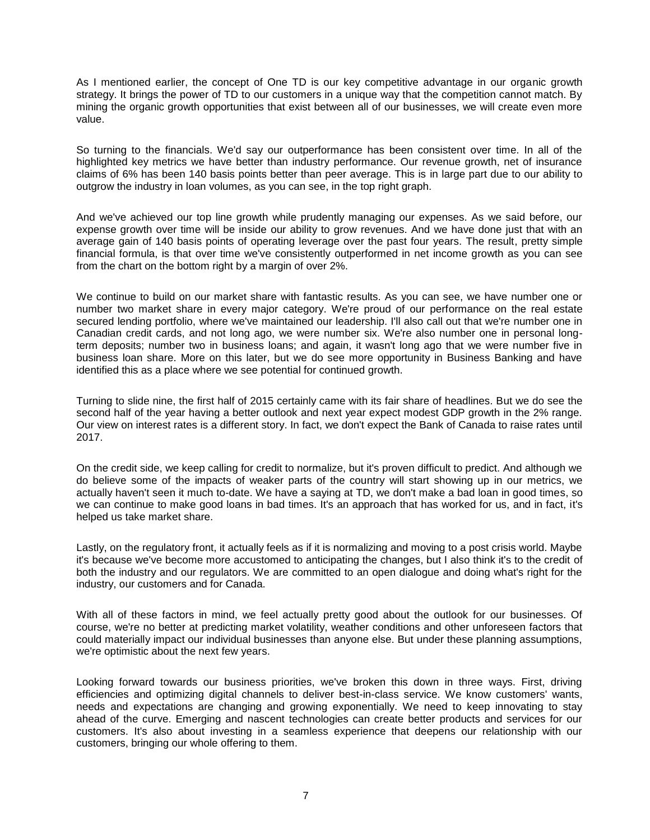As I mentioned earlier, the concept of One TD is our key competitive advantage in our organic growth strategy. It brings the power of TD to our customers in a unique way that the competition cannot match. By mining the organic growth opportunities that exist between all of our businesses, we will create even more value.

So turning to the financials. We'd say our outperformance has been consistent over time. In all of the highlighted key metrics we have better than industry performance. Our revenue growth, net of insurance claims of 6% has been 140 basis points better than peer average. This is in large part due to our ability to outgrow the industry in loan volumes, as you can see, in the top right graph.

And we've achieved our top line growth while prudently managing our expenses. As we said before, our expense growth over time will be inside our ability to grow revenues. And we have done just that with an average gain of 140 basis points of operating leverage over the past four years. The result, pretty simple financial formula, is that over time we've consistently outperformed in net income growth as you can see from the chart on the bottom right by a margin of over 2%.

We continue to build on our market share with fantastic results. As you can see, we have number one or number two market share in every major category. We're proud of our performance on the real estate secured lending portfolio, where we've maintained our leadership. I'll also call out that we're number one in Canadian credit cards, and not long ago, we were number six. We're also number one in personal longterm deposits; number two in business loans; and again, it wasn't long ago that we were number five in business loan share. More on this later, but we do see more opportunity in Business Banking and have identified this as a place where we see potential for continued growth.

Turning to slide nine, the first half of 2015 certainly came with its fair share of headlines. But we do see the second half of the year having a better outlook and next year expect modest GDP growth in the 2% range. Our view on interest rates is a different story. In fact, we don't expect the Bank of Canada to raise rates until 2017.

On the credit side, we keep calling for credit to normalize, but it's proven difficult to predict. And although we do believe some of the impacts of weaker parts of the country will start showing up in our metrics, we actually haven't seen it much to-date. We have a saying at TD, we don't make a bad loan in good times, so we can continue to make good loans in bad times. It's an approach that has worked for us, and in fact, it's helped us take market share.

Lastly, on the regulatory front, it actually feels as if it is normalizing and moving to a post crisis world. Maybe it's because we've become more accustomed to anticipating the changes, but I also think it's to the credit of both the industry and our regulators. We are committed to an open dialogue and doing what's right for the industry, our customers and for Canada.

With all of these factors in mind, we feel actually pretty good about the outlook for our businesses. Of course, we're no better at predicting market volatility, weather conditions and other unforeseen factors that could materially impact our individual businesses than anyone else. But under these planning assumptions, we're optimistic about the next few years.

Looking forward towards our business priorities, we've broken this down in three ways. First, driving efficiencies and optimizing digital channels to deliver best-in-class service. We know customers' wants, needs and expectations are changing and growing exponentially. We need to keep innovating to stay ahead of the curve. Emerging and nascent technologies can create better products and services for our customers. It's also about investing in a seamless experience that deepens our relationship with our customers, bringing our whole offering to them.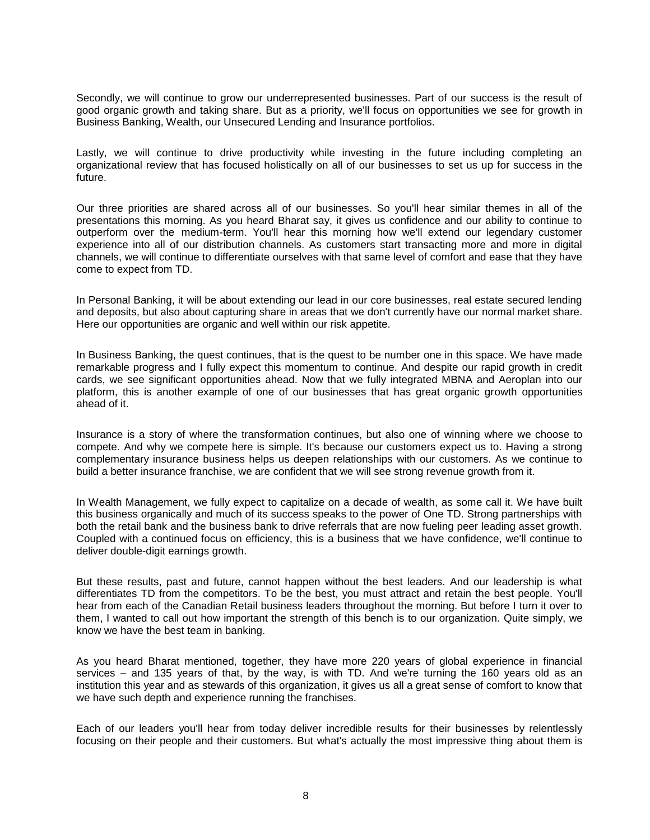Secondly, we will continue to grow our underrepresented businesses. Part of our success is the result of good organic growth and taking share. But as a priority, we'll focus on opportunities we see for growth in Business Banking, Wealth, our Unsecured Lending and Insurance portfolios.

Lastly, we will continue to drive productivity while investing in the future including completing an organizational review that has focused holistically on all of our businesses to set us up for success in the future.

Our three priorities are shared across all of our businesses. So you'll hear similar themes in all of the presentations this morning. As you heard Bharat say, it gives us confidence and our ability to continue to outperform over the medium-term. You'll hear this morning how we'll extend our legendary customer experience into all of our distribution channels. As customers start transacting more and more in digital channels, we will continue to differentiate ourselves with that same level of comfort and ease that they have come to expect from TD.

In Personal Banking, it will be about extending our lead in our core businesses, real estate secured lending and deposits, but also about capturing share in areas that we don't currently have our normal market share. Here our opportunities are organic and well within our risk appetite.

In Business Banking, the quest continues, that is the quest to be number one in this space. We have made remarkable progress and I fully expect this momentum to continue. And despite our rapid growth in credit cards, we see significant opportunities ahead. Now that we fully integrated MBNA and Aeroplan into our platform, this is another example of one of our businesses that has great organic growth opportunities ahead of it.

Insurance is a story of where the transformation continues, but also one of winning where we choose to compete. And why we compete here is simple. It's because our customers expect us to. Having a strong complementary insurance business helps us deepen relationships with our customers. As we continue to build a better insurance franchise, we are confident that we will see strong revenue growth from it.

In Wealth Management, we fully expect to capitalize on a decade of wealth, as some call it. We have built this business organically and much of its success speaks to the power of One TD. Strong partnerships with both the retail bank and the business bank to drive referrals that are now fueling peer leading asset growth. Coupled with a continued focus on efficiency, this is a business that we have confidence, we'll continue to deliver double-digit earnings growth.

But these results, past and future, cannot happen without the best leaders. And our leadership is what differentiates TD from the competitors. To be the best, you must attract and retain the best people. You'll hear from each of the Canadian Retail business leaders throughout the morning. But before I turn it over to them, I wanted to call out how important the strength of this bench is to our organization. Quite simply, we know we have the best team in banking.

As you heard Bharat mentioned, together, they have more 220 years of global experience in financial services – and 135 years of that, by the way, is with TD. And we're turning the 160 years old as an institution this year and as stewards of this organization, it gives us all a great sense of comfort to know that we have such depth and experience running the franchises.

Each of our leaders you'll hear from today deliver incredible results for their businesses by relentlessly focusing on their people and their customers. But what's actually the most impressive thing about them is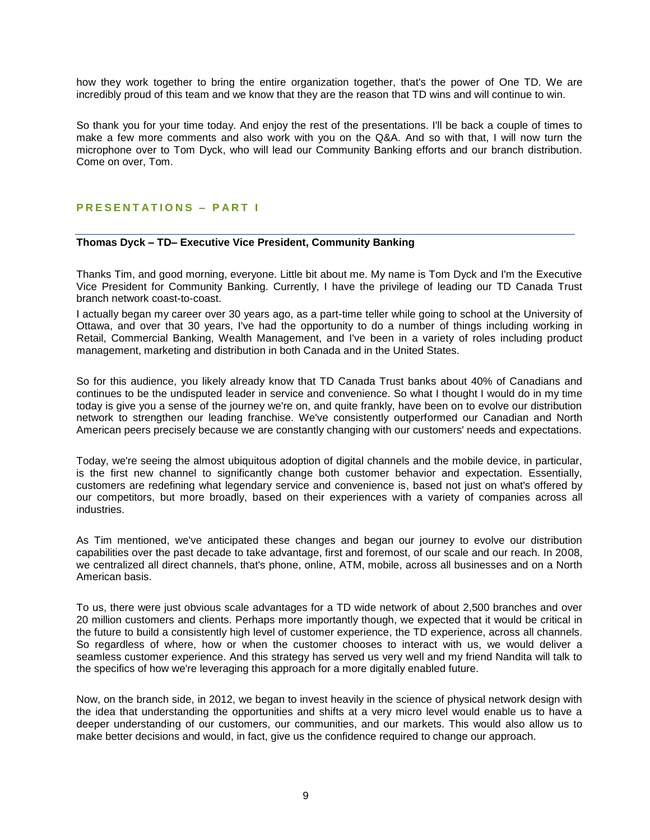how they work together to bring the entire organization together, that's the power of One TD. We are incredibly proud of this team and we know that they are the reason that TD wins and will continue to win.

So thank you for your time today. And enjoy the rest of the presentations. I'll be back a couple of times to make a few more comments and also work with you on the Q&A. And so with that, I will now turn the microphone over to Tom Dyck, who will lead our Community Banking efforts and our branch distribution. Come on over, Tom.

#### **P R E S E N T A T I O N S – P A R T I**

# **Thomas Dyck – TD– Executive Vice President, Community Banking**

Thanks Tim, and good morning, everyone. Little bit about me. My name is Tom Dyck and I'm the Executive Vice President for Community Banking. Currently, I have the privilege of leading our TD Canada Trust branch network coast-to-coast.

I actually began my career over 30 years ago, as a part-time teller while going to school at the University of Ottawa, and over that 30 years, I've had the opportunity to do a number of things including working in Retail, Commercial Banking, Wealth Management, and I've been in a variety of roles including product management, marketing and distribution in both Canada and in the United States.

So for this audience, you likely already know that TD Canada Trust banks about 40% of Canadians and continues to be the undisputed leader in service and convenience. So what I thought I would do in my time today is give you a sense of the journey we're on, and quite frankly, have been on to evolve our distribution network to strengthen our leading franchise. We've consistently outperformed our Canadian and North American peers precisely because we are constantly changing with our customers' needs and expectations.

Today, we're seeing the almost ubiquitous adoption of digital channels and the mobile device, in particular, is the first new channel to significantly change both customer behavior and expectation. Essentially, customers are redefining what legendary service and convenience is, based not just on what's offered by our competitors, but more broadly, based on their experiences with a variety of companies across all industries.

As Tim mentioned, we've anticipated these changes and began our journey to evolve our distribution capabilities over the past decade to take advantage, first and foremost, of our scale and our reach. In 2008, we centralized all direct channels, that's phone, online, ATM, mobile, across all businesses and on a North American basis.

To us, there were just obvious scale advantages for a TD wide network of about 2,500 branches and over 20 million customers and clients. Perhaps more importantly though, we expected that it would be critical in the future to build a consistently high level of customer experience, the TD experience, across all channels. So regardless of where, how or when the customer chooses to interact with us, we would deliver a seamless customer experience. And this strategy has served us very well and my friend Nandita will talk to the specifics of how we're leveraging this approach for a more digitally enabled future.

Now, on the branch side, in 2012, we began to invest heavily in the science of physical network design with the idea that understanding the opportunities and shifts at a very micro level would enable us to have a deeper understanding of our customers, our communities, and our markets. This would also allow us to make better decisions and would, in fact, give us the confidence required to change our approach.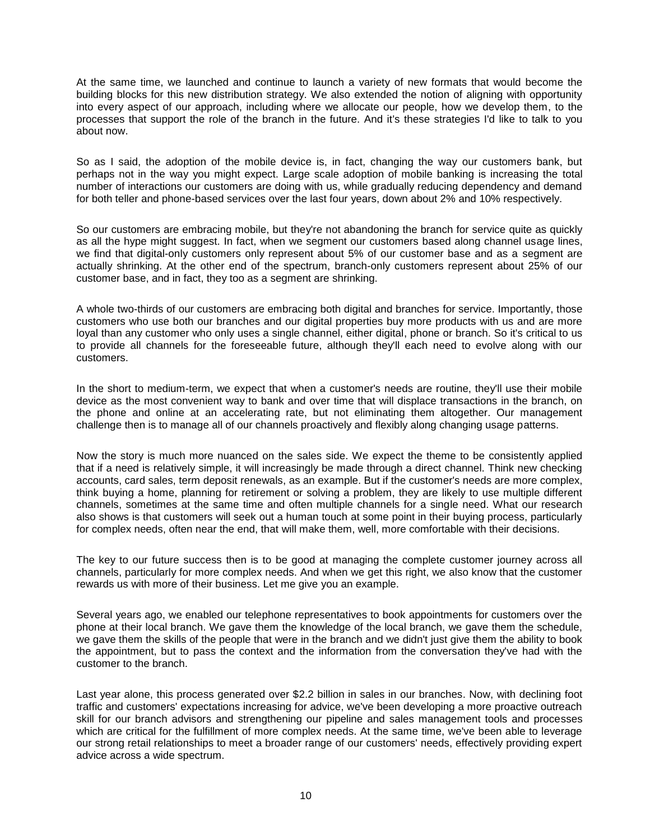At the same time, we launched and continue to launch a variety of new formats that would become the building blocks for this new distribution strategy. We also extended the notion of aligning with opportunity into every aspect of our approach, including where we allocate our people, how we develop them, to the processes that support the role of the branch in the future. And it's these strategies I'd like to talk to you about now.

So as I said, the adoption of the mobile device is, in fact, changing the way our customers bank, but perhaps not in the way you might expect. Large scale adoption of mobile banking is increasing the total number of interactions our customers are doing with us, while gradually reducing dependency and demand for both teller and phone-based services over the last four years, down about 2% and 10% respectively.

So our customers are embracing mobile, but they're not abandoning the branch for service quite as quickly as all the hype might suggest. In fact, when we segment our customers based along channel usage lines, we find that digital-only customers only represent about 5% of our customer base and as a segment are actually shrinking. At the other end of the spectrum, branch-only customers represent about 25% of our customer base, and in fact, they too as a segment are shrinking.

A whole two-thirds of our customers are embracing both digital and branches for service. Importantly, those customers who use both our branches and our digital properties buy more products with us and are more loyal than any customer who only uses a single channel, either digital, phone or branch. So it's critical to us to provide all channels for the foreseeable future, although they'll each need to evolve along with our customers.

In the short to medium-term, we expect that when a customer's needs are routine, they'll use their mobile device as the most convenient way to bank and over time that will displace transactions in the branch, on the phone and online at an accelerating rate, but not eliminating them altogether. Our management challenge then is to manage all of our channels proactively and flexibly along changing usage patterns.

Now the story is much more nuanced on the sales side. We expect the theme to be consistently applied that if a need is relatively simple, it will increasingly be made through a direct channel. Think new checking accounts, card sales, term deposit renewals, as an example. But if the customer's needs are more complex, think buying a home, planning for retirement or solving a problem, they are likely to use multiple different channels, sometimes at the same time and often multiple channels for a single need. What our research also shows is that customers will seek out a human touch at some point in their buying process, particularly for complex needs, often near the end, that will make them, well, more comfortable with their decisions.

The key to our future success then is to be good at managing the complete customer journey across all channels, particularly for more complex needs. And when we get this right, we also know that the customer rewards us with more of their business. Let me give you an example.

Several years ago, we enabled our telephone representatives to book appointments for customers over the phone at their local branch. We gave them the knowledge of the local branch, we gave them the schedule, we gave them the skills of the people that were in the branch and we didn't just give them the ability to book the appointment, but to pass the context and the information from the conversation they've had with the customer to the branch.

Last year alone, this process generated over \$2.2 billion in sales in our branches. Now, with declining foot traffic and customers' expectations increasing for advice, we've been developing a more proactive outreach skill for our branch advisors and strengthening our pipeline and sales management tools and processes which are critical for the fulfillment of more complex needs. At the same time, we've been able to leverage our strong retail relationships to meet a broader range of our customers' needs, effectively providing expert advice across a wide spectrum.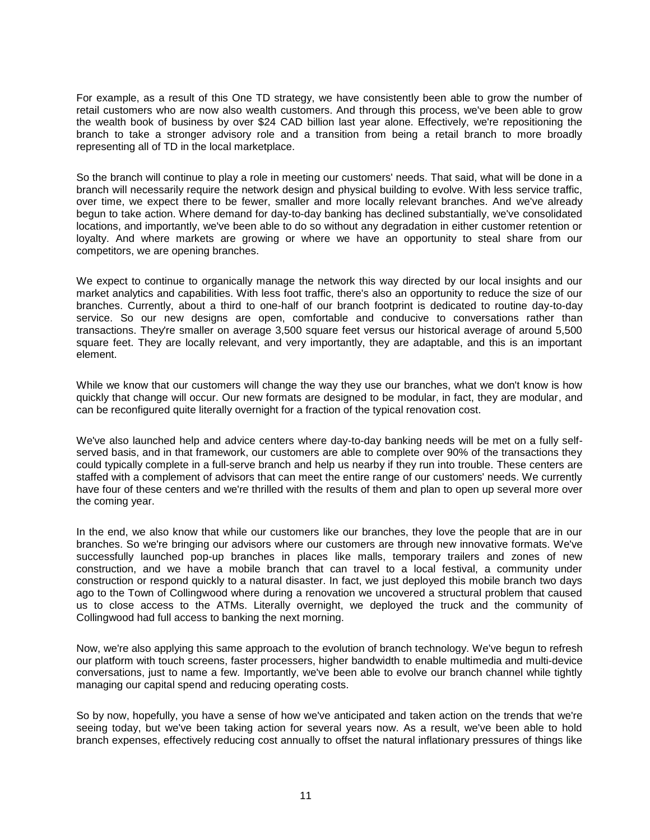For example, as a result of this One TD strategy, we have consistently been able to grow the number of retail customers who are now also wealth customers. And through this process, we've been able to grow the wealth book of business by over \$24 CAD billion last year alone. Effectively, we're repositioning the branch to take a stronger advisory role and a transition from being a retail branch to more broadly representing all of TD in the local marketplace.

So the branch will continue to play a role in meeting our customers' needs. That said, what will be done in a branch will necessarily require the network design and physical building to evolve. With less service traffic, over time, we expect there to be fewer, smaller and more locally relevant branches. And we've already begun to take action. Where demand for day-to-day banking has declined substantially, we've consolidated locations, and importantly, we've been able to do so without any degradation in either customer retention or loyalty. And where markets are growing or where we have an opportunity to steal share from our competitors, we are opening branches.

We expect to continue to organically manage the network this way directed by our local insights and our market analytics and capabilities. With less foot traffic, there's also an opportunity to reduce the size of our branches. Currently, about a third to one-half of our branch footprint is dedicated to routine day-to-day service. So our new designs are open, comfortable and conducive to conversations rather than transactions. They're smaller on average 3,500 square feet versus our historical average of around 5,500 square feet. They are locally relevant, and very importantly, they are adaptable, and this is an important element.

While we know that our customers will change the way they use our branches, what we don't know is how quickly that change will occur. Our new formats are designed to be modular, in fact, they are modular, and can be reconfigured quite literally overnight for a fraction of the typical renovation cost.

We've also launched help and advice centers where day-to-day banking needs will be met on a fully selfserved basis, and in that framework, our customers are able to complete over 90% of the transactions they could typically complete in a full-serve branch and help us nearby if they run into trouble. These centers are staffed with a complement of advisors that can meet the entire range of our customers' needs. We currently have four of these centers and we're thrilled with the results of them and plan to open up several more over the coming year.

In the end, we also know that while our customers like our branches, they love the people that are in our branches. So we're bringing our advisors where our customers are through new innovative formats. We've successfully launched pop-up branches in places like malls, temporary trailers and zones of new construction, and we have a mobile branch that can travel to a local festival, a community under construction or respond quickly to a natural disaster. In fact, we just deployed this mobile branch two days ago to the Town of Collingwood where during a renovation we uncovered a structural problem that caused us to close access to the ATMs. Literally overnight, we deployed the truck and the community of Collingwood had full access to banking the next morning.

Now, we're also applying this same approach to the evolution of branch technology. We've begun to refresh our platform with touch screens, faster processers, higher bandwidth to enable multimedia and multi-device conversations, just to name a few. Importantly, we've been able to evolve our branch channel while tightly managing our capital spend and reducing operating costs.

So by now, hopefully, you have a sense of how we've anticipated and taken action on the trends that we're seeing today, but we've been taking action for several years now. As a result, we've been able to hold branch expenses, effectively reducing cost annually to offset the natural inflationary pressures of things like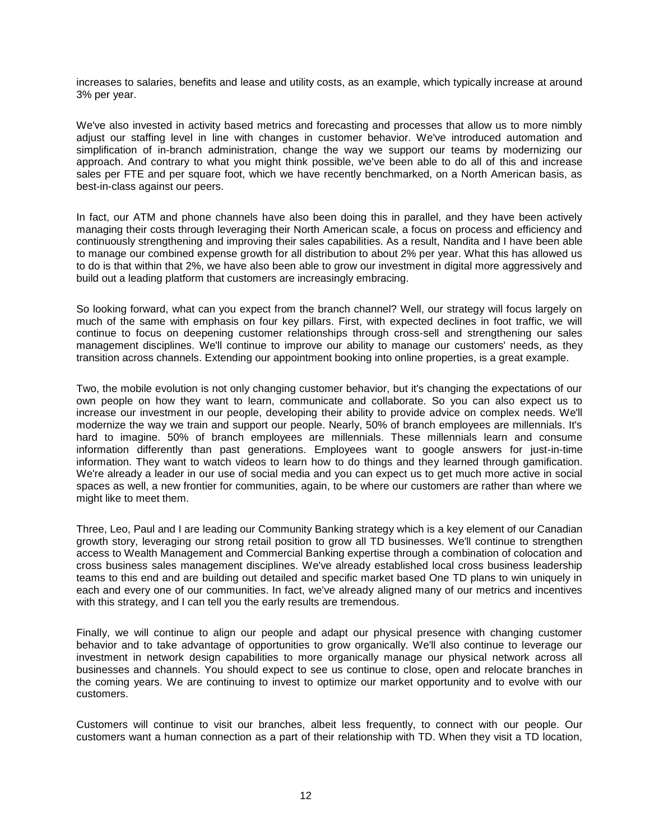increases to salaries, benefits and lease and utility costs, as an example, which typically increase at around 3% per year.

We've also invested in activity based metrics and forecasting and processes that allow us to more nimbly adjust our staffing level in line with changes in customer behavior. We've introduced automation and simplification of in-branch administration, change the way we support our teams by modernizing our approach. And contrary to what you might think possible, we've been able to do all of this and increase sales per FTE and per square foot, which we have recently benchmarked, on a North American basis, as best-in-class against our peers.

In fact, our ATM and phone channels have also been doing this in parallel, and they have been actively managing their costs through leveraging their North American scale, a focus on process and efficiency and continuously strengthening and improving their sales capabilities. As a result, Nandita and I have been able to manage our combined expense growth for all distribution to about 2% per year. What this has allowed us to do is that within that 2%, we have also been able to grow our investment in digital more aggressively and build out a leading platform that customers are increasingly embracing.

So looking forward, what can you expect from the branch channel? Well, our strategy will focus largely on much of the same with emphasis on four key pillars. First, with expected declines in foot traffic, we will continue to focus on deepening customer relationships through cross-sell and strengthening our sales management disciplines. We'll continue to improve our ability to manage our customers' needs, as they transition across channels. Extending our appointment booking into online properties, is a great example.

Two, the mobile evolution is not only changing customer behavior, but it's changing the expectations of our own people on how they want to learn, communicate and collaborate. So you can also expect us to increase our investment in our people, developing their ability to provide advice on complex needs. We'll modernize the way we train and support our people. Nearly, 50% of branch employees are millennials. It's hard to imagine. 50% of branch employees are millennials. These millennials learn and consume information differently than past generations. Employees want to google answers for just-in-time information. They want to watch videos to learn how to do things and they learned through gamification. We're already a leader in our use of social media and you can expect us to get much more active in social spaces as well, a new frontier for communities, again, to be where our customers are rather than where we might like to meet them.

Three, Leo, Paul and I are leading our Community Banking strategy which is a key element of our Canadian growth story, leveraging our strong retail position to grow all TD businesses. We'll continue to strengthen access to Wealth Management and Commercial Banking expertise through a combination of colocation and cross business sales management disciplines. We've already established local cross business leadership teams to this end and are building out detailed and specific market based One TD plans to win uniquely in each and every one of our communities. In fact, we've already aligned many of our metrics and incentives with this strategy, and I can tell you the early results are tremendous.

Finally, we will continue to align our people and adapt our physical presence with changing customer behavior and to take advantage of opportunities to grow organically. We'll also continue to leverage our investment in network design capabilities to more organically manage our physical network across all businesses and channels. You should expect to see us continue to close, open and relocate branches in the coming years. We are continuing to invest to optimize our market opportunity and to evolve with our customers.

Customers will continue to visit our branches, albeit less frequently, to connect with our people. Our customers want a human connection as a part of their relationship with TD. When they visit a TD location,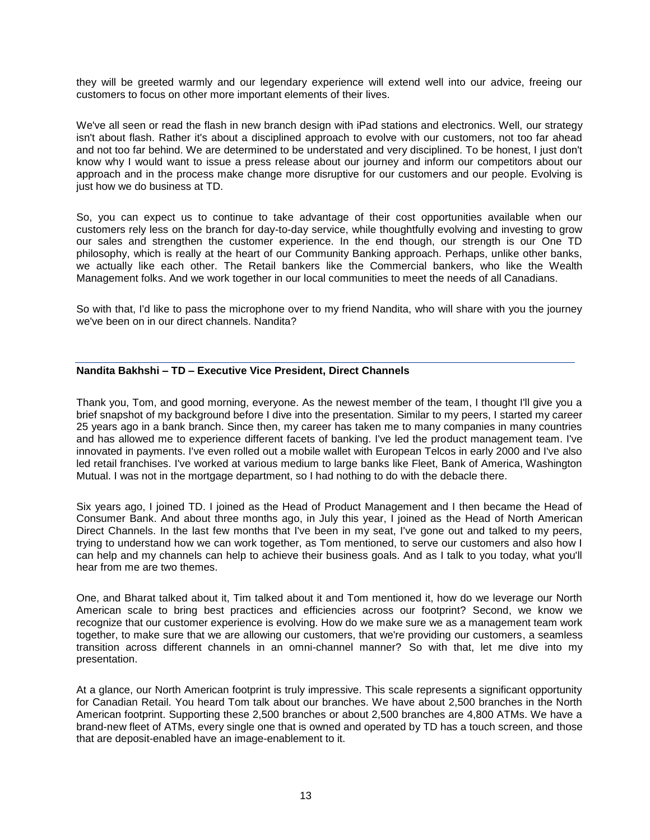they will be greeted warmly and our legendary experience will extend well into our advice, freeing our customers to focus on other more important elements of their lives.

We've all seen or read the flash in new branch design with iPad stations and electronics. Well, our strategy isn't about flash. Rather it's about a disciplined approach to evolve with our customers, not too far ahead and not too far behind. We are determined to be understated and very disciplined. To be honest, I just don't know why I would want to issue a press release about our journey and inform our competitors about our approach and in the process make change more disruptive for our customers and our people. Evolving is just how we do business at TD.

So, you can expect us to continue to take advantage of their cost opportunities available when our customers rely less on the branch for day-to-day service, while thoughtfully evolving and investing to grow our sales and strengthen the customer experience. In the end though, our strength is our One TD philosophy, which is really at the heart of our Community Banking approach. Perhaps, unlike other banks, we actually like each other. The Retail bankers like the Commercial bankers, who like the Wealth Management folks. And we work together in our local communities to meet the needs of all Canadians.

So with that, I'd like to pass the microphone over to my friend Nandita, who will share with you the journey we've been on in our direct channels. Nandita?

# **Nandita Bakhshi – TD – Executive Vice President, Direct Channels**

Thank you, Tom, and good morning, everyone. As the newest member of the team, I thought I'll give you a brief snapshot of my background before I dive into the presentation. Similar to my peers, I started my career 25 years ago in a bank branch. Since then, my career has taken me to many companies in many countries and has allowed me to experience different facets of banking. I've led the product management team. I've innovated in payments. I've even rolled out a mobile wallet with European Telcos in early 2000 and I've also led retail franchises. I've worked at various medium to large banks like Fleet, Bank of America, Washington Mutual. I was not in the mortgage department, so I had nothing to do with the debacle there.

Six years ago, I joined TD. I joined as the Head of Product Management and I then became the Head of Consumer Bank. And about three months ago, in July this year, I joined as the Head of North American Direct Channels. In the last few months that I've been in my seat, I've gone out and talked to my peers, trying to understand how we can work together, as Tom mentioned, to serve our customers and also how I can help and my channels can help to achieve their business goals. And as I talk to you today, what you'll hear from me are two themes.

One, and Bharat talked about it, Tim talked about it and Tom mentioned it, how do we leverage our North American scale to bring best practices and efficiencies across our footprint? Second, we know we recognize that our customer experience is evolving. How do we make sure we as a management team work together, to make sure that we are allowing our customers, that we're providing our customers, a seamless transition across different channels in an omni-channel manner? So with that, let me dive into my presentation.

At a glance, our North American footprint is truly impressive. This scale represents a significant opportunity for Canadian Retail. You heard Tom talk about our branches. We have about 2,500 branches in the North American footprint. Supporting these 2,500 branches or about 2,500 branches are 4,800 ATMs. We have a brand-new fleet of ATMs, every single one that is owned and operated by TD has a touch screen, and those that are deposit-enabled have an image-enablement to it.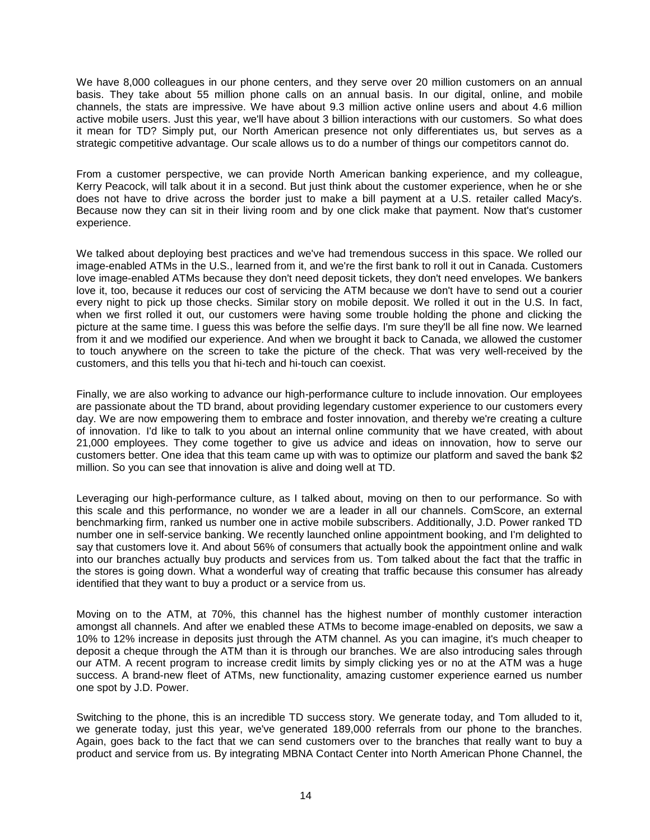We have 8,000 colleagues in our phone centers, and they serve over 20 million customers on an annual basis. They take about 55 million phone calls on an annual basis. In our digital, online, and mobile channels, the stats are impressive. We have about 9.3 million active online users and about 4.6 million active mobile users. Just this year, we'll have about 3 billion interactions with our customers. So what does it mean for TD? Simply put, our North American presence not only differentiates us, but serves as a strategic competitive advantage. Our scale allows us to do a number of things our competitors cannot do.

From a customer perspective, we can provide North American banking experience, and my colleague, Kerry Peacock, will talk about it in a second. But just think about the customer experience, when he or she does not have to drive across the border just to make a bill payment at a U.S. retailer called Macy's. Because now they can sit in their living room and by one click make that payment. Now that's customer experience.

We talked about deploying best practices and we've had tremendous success in this space. We rolled our image-enabled ATMs in the U.S., learned from it, and we're the first bank to roll it out in Canada. Customers love image-enabled ATMs because they don't need deposit tickets, they don't need envelopes. We bankers love it, too, because it reduces our cost of servicing the ATM because we don't have to send out a courier every night to pick up those checks. Similar story on mobile deposit. We rolled it out in the U.S. In fact, when we first rolled it out, our customers were having some trouble holding the phone and clicking the picture at the same time. I guess this was before the selfie days. I'm sure they'll be all fine now. We learned from it and we modified our experience. And when we brought it back to Canada, we allowed the customer to touch anywhere on the screen to take the picture of the check. That was very well-received by the customers, and this tells you that hi-tech and hi-touch can coexist.

Finally, we are also working to advance our high-performance culture to include innovation. Our employees are passionate about the TD brand, about providing legendary customer experience to our customers every day. We are now empowering them to embrace and foster innovation, and thereby we're creating a culture of innovation. I'd like to talk to you about an internal online community that we have created, with about 21,000 employees. They come together to give us advice and ideas on innovation, how to serve our customers better. One idea that this team came up with was to optimize our platform and saved the bank \$2 million. So you can see that innovation is alive and doing well at TD.

Leveraging our high-performance culture, as I talked about, moving on then to our performance. So with this scale and this performance, no wonder we are a leader in all our channels. ComScore, an external benchmarking firm, ranked us number one in active mobile subscribers. Additionally, J.D. Power ranked TD number one in self-service banking. We recently launched online appointment booking, and I'm delighted to say that customers love it. And about 56% of consumers that actually book the appointment online and walk into our branches actually buy products and services from us. Tom talked about the fact that the traffic in the stores is going down. What a wonderful way of creating that traffic because this consumer has already identified that they want to buy a product or a service from us.

Moving on to the ATM, at 70%, this channel has the highest number of monthly customer interaction amongst all channels. And after we enabled these ATMs to become image-enabled on deposits, we saw a 10% to 12% increase in deposits just through the ATM channel. As you can imagine, it's much cheaper to deposit a cheque through the ATM than it is through our branches. We are also introducing sales through our ATM. A recent program to increase credit limits by simply clicking yes or no at the ATM was a huge success. A brand-new fleet of ATMs, new functionality, amazing customer experience earned us number one spot by J.D. Power.

Switching to the phone, this is an incredible TD success story. We generate today, and Tom alluded to it, we generate today, just this year, we've generated 189,000 referrals from our phone to the branches. Again, goes back to the fact that we can send customers over to the branches that really want to buy a product and service from us. By integrating MBNA Contact Center into North American Phone Channel, the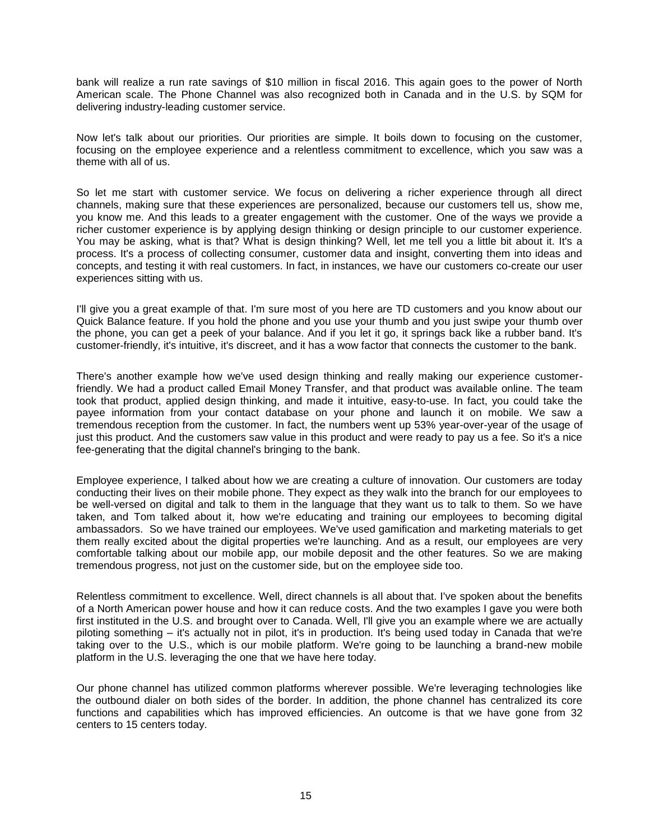bank will realize a run rate savings of \$10 million in fiscal 2016. This again goes to the power of North American scale. The Phone Channel was also recognized both in Canada and in the U.S. by SQM for delivering industry-leading customer service.

Now let's talk about our priorities. Our priorities are simple. It boils down to focusing on the customer, focusing on the employee experience and a relentless commitment to excellence, which you saw was a theme with all of us.

So let me start with customer service. We focus on delivering a richer experience through all direct channels, making sure that these experiences are personalized, because our customers tell us, show me, you know me. And this leads to a greater engagement with the customer. One of the ways we provide a richer customer experience is by applying design thinking or design principle to our customer experience. You may be asking, what is that? What is design thinking? Well, let me tell you a little bit about it. It's a process. It's a process of collecting consumer, customer data and insight, converting them into ideas and concepts, and testing it with real customers. In fact, in instances, we have our customers co-create our user experiences sitting with us.

I'll give you a great example of that. I'm sure most of you here are TD customers and you know about our Quick Balance feature. If you hold the phone and you use your thumb and you just swipe your thumb over the phone, you can get a peek of your balance. And if you let it go, it springs back like a rubber band. It's customer-friendly, it's intuitive, it's discreet, and it has a wow factor that connects the customer to the bank.

There's another example how we've used design thinking and really making our experience customerfriendly. We had a product called Email Money Transfer, and that product was available online. The team took that product, applied design thinking, and made it intuitive, easy-to-use. In fact, you could take the payee information from your contact database on your phone and launch it on mobile. We saw a tremendous reception from the customer. In fact, the numbers went up 53% year-over-year of the usage of just this product. And the customers saw value in this product and were ready to pay us a fee. So it's a nice fee-generating that the digital channel's bringing to the bank.

Employee experience, I talked about how we are creating a culture of innovation. Our customers are today conducting their lives on their mobile phone. They expect as they walk into the branch for our employees to be well-versed on digital and talk to them in the language that they want us to talk to them. So we have taken, and Tom talked about it, how we're educating and training our employees to becoming digital ambassadors. So we have trained our employees. We've used gamification and marketing materials to get them really excited about the digital properties we're launching. And as a result, our employees are very comfortable talking about our mobile app, our mobile deposit and the other features. So we are making tremendous progress, not just on the customer side, but on the employee side too.

Relentless commitment to excellence. Well, direct channels is all about that. I've spoken about the benefits of a North American power house and how it can reduce costs. And the two examples I gave you were both first instituted in the U.S. and brought over to Canada. Well, I'll give you an example where we are actually piloting something – it's actually not in pilot, it's in production. It's being used today in Canada that we're taking over to the U.S., which is our mobile platform. We're going to be launching a brand-new mobile platform in the U.S. leveraging the one that we have here today.

Our phone channel has utilized common platforms wherever possible. We're leveraging technologies like the outbound dialer on both sides of the border. In addition, the phone channel has centralized its core functions and capabilities which has improved efficiencies. An outcome is that we have gone from 32 centers to 15 centers today.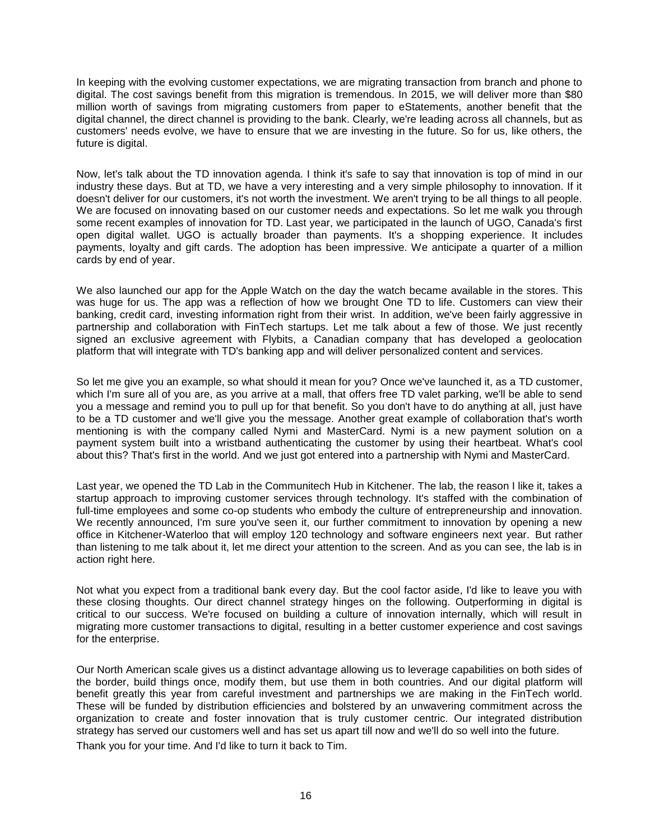In keeping with the evolving customer expectations, we are migrating transaction from branch and phone to digital. The cost savings benefit from this migration is tremendous. In 2015, we will deliver more than \$80 million worth of savings from migrating customers from paper to eStatements, another benefit that the digital channel, the direct channel is providing to the bank. Clearly, we're leading across all channels, but as customers' needs evolve, we have to ensure that we are investing in the future. So for us, like others, the future is digital.

Now, let's talk about the TD innovation agenda. I think it's safe to say that innovation is top of mind in our industry these days. But at TD, we have a very interesting and a very simple philosophy to innovation. If it doesn't deliver for our customers, it's not worth the investment. We aren't trying to be all things to all people. We are focused on innovating based on our customer needs and expectations. So let me walk you through some recent examples of innovation for TD. Last year, we participated in the launch of UGO, Canada's first open digital wallet. UGO is actually broader than payments. It's a shopping experience. It includes payments, loyalty and gift cards. The adoption has been impressive. We anticipate a quarter of a million cards by end of year.

We also launched our app for the Apple Watch on the day the watch became available in the stores. This was huge for us. The app was a reflection of how we brought One TD to life. Customers can view their banking, credit card, investing information right from their wrist. In addition, we've been fairly aggressive in partnership and collaboration with FinTech startups. Let me talk about a few of those. We just recently signed an exclusive agreement with Flybits, a Canadian company that has developed a geolocation platform that will integrate with TD's banking app and will deliver personalized content and services.

So let me give you an example, so what should it mean for you? Once we've launched it, as a TD customer, which I'm sure all of you are, as you arrive at a mall, that offers free TD valet parking, we'll be able to send you a message and remind you to pull up for that benefit. So you don't have to do anything at all, just have to be a TD customer and we'll give you the message. Another great example of collaboration that's worth mentioning is with the company called Nymi and MasterCard. Nymi is a new payment solution on a payment system built into a wristband authenticating the customer by using their heartbeat. What's cool about this? That's first in the world. And we just got entered into a partnership with Nymi and MasterCard.

Last year, we opened the TD Lab in the Communitech Hub in Kitchener. The lab, the reason I like it, takes a startup approach to improving customer services through technology. It's staffed with the combination of full-time employees and some co-op students who embody the culture of entrepreneurship and innovation. We recently announced, I'm sure you've seen it, our further commitment to innovation by opening a new office in Kitchener-Waterloo that will employ 120 technology and software engineers next year. But rather than listening to me talk about it, let me direct your attention to the screen. And as you can see, the lab is in action right here.

Not what you expect from a traditional bank every day. But the cool factor aside, I'd like to leave you with these closing thoughts. Our direct channel strategy hinges on the following. Outperforming in digital is critical to our success. We're focused on building a culture of innovation internally, which will result in migrating more customer transactions to digital, resulting in a better customer experience and cost savings for the enterprise.

Our North American scale gives us a distinct advantage allowing us to leverage capabilities on both sides of the border, build things once, modify them, but use them in both countries. And our digital platform will benefit greatly this year from careful investment and partnerships we are making in the FinTech world. These will be funded by distribution efficiencies and bolstered by an unwavering commitment across the organization to create and foster innovation that is truly customer centric. Our integrated distribution strategy has served our customers well and has set us apart till now and we'll do so well into the future. Thank you for your time. And I'd like to turn it back to Tim.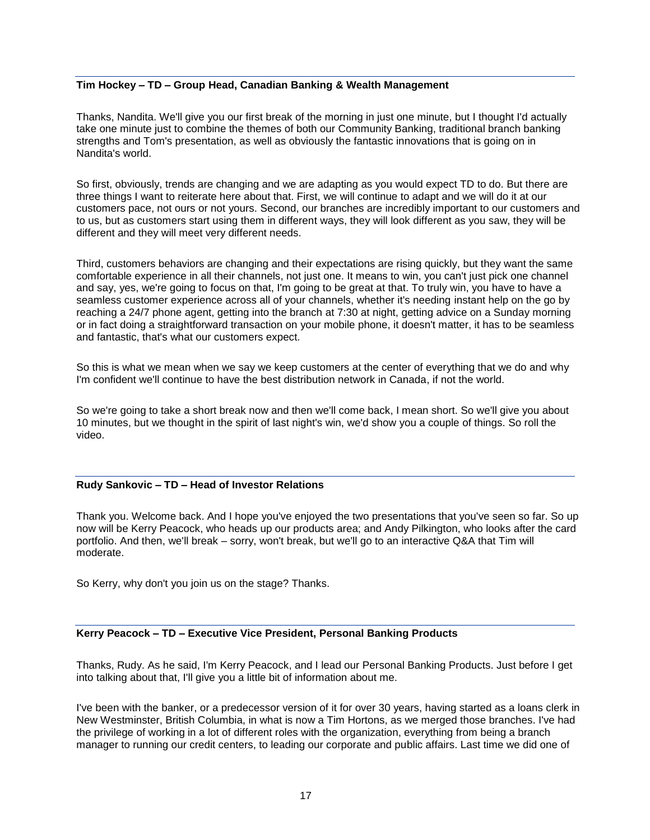# **Tim Hockey – TD – Group Head, Canadian Banking & Wealth Management**

Thanks, Nandita. We'll give you our first break of the morning in just one minute, but I thought I'd actually take one minute just to combine the themes of both our Community Banking, traditional branch banking strengths and Tom's presentation, as well as obviously the fantastic innovations that is going on in Nandita's world.

So first, obviously, trends are changing and we are adapting as you would expect TD to do. But there are three things I want to reiterate here about that. First, we will continue to adapt and we will do it at our customers pace, not ours or not yours. Second, our branches are incredibly important to our customers and to us, but as customers start using them in different ways, they will look different as you saw, they will be different and they will meet very different needs.

Third, customers behaviors are changing and their expectations are rising quickly, but they want the same comfortable experience in all their channels, not just one. It means to win, you can't just pick one channel and say, yes, we're going to focus on that, I'm going to be great at that. To truly win, you have to have a seamless customer experience across all of your channels, whether it's needing instant help on the go by reaching a 24/7 phone agent, getting into the branch at 7:30 at night, getting advice on a Sunday morning or in fact doing a straightforward transaction on your mobile phone, it doesn't matter, it has to be seamless and fantastic, that's what our customers expect.

So this is what we mean when we say we keep customers at the center of everything that we do and why I'm confident we'll continue to have the best distribution network in Canada, if not the world.

So we're going to take a short break now and then we'll come back, I mean short. So we'll give you about 10 minutes, but we thought in the spirit of last night's win, we'd show you a couple of things. So roll the video.

# **Rudy Sankovic – TD – Head of Investor Relations**

Thank you. Welcome back. And I hope you've enjoyed the two presentations that you've seen so far. So up now will be Kerry Peacock, who heads up our products area; and Andy Pilkington, who looks after the card portfolio. And then, we'll break – sorry, won't break, but we'll go to an interactive Q&A that Tim will moderate.

So Kerry, why don't you join us on the stage? Thanks.

# **Kerry Peacock – TD – Executive Vice President, Personal Banking Products**

Thanks, Rudy. As he said, I'm Kerry Peacock, and I lead our Personal Banking Products. Just before I get into talking about that, I'll give you a little bit of information about me.

I've been with the banker, or a predecessor version of it for over 30 years, having started as a loans clerk in New Westminster, British Columbia, in what is now a Tim Hortons, as we merged those branches. I've had the privilege of working in a lot of different roles with the organization, everything from being a branch manager to running our credit centers, to leading our corporate and public affairs. Last time we did one of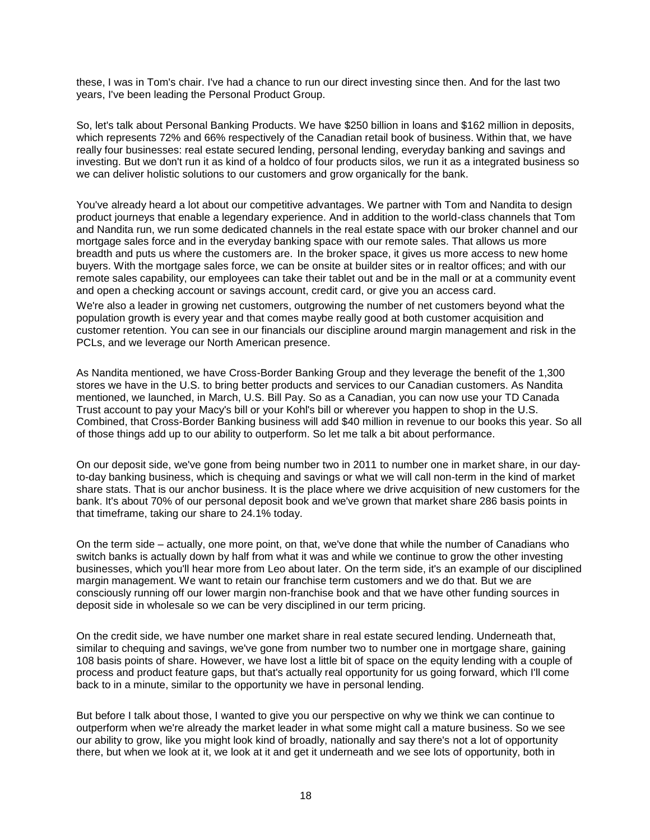these, I was in Tom's chair. I've had a chance to run our direct investing since then. And for the last two years, I've been leading the Personal Product Group.

So, let's talk about Personal Banking Products. We have \$250 billion in loans and \$162 million in deposits, which represents 72% and 66% respectively of the Canadian retail book of business. Within that, we have really four businesses: real estate secured lending, personal lending, everyday banking and savings and investing. But we don't run it as kind of a holdco of four products silos, we run it as a integrated business so we can deliver holistic solutions to our customers and grow organically for the bank.

You've already heard a lot about our competitive advantages. We partner with Tom and Nandita to design product journeys that enable a legendary experience. And in addition to the world-class channels that Tom and Nandita run, we run some dedicated channels in the real estate space with our broker channel and our mortgage sales force and in the everyday banking space with our remote sales. That allows us more breadth and puts us where the customers are. In the broker space, it gives us more access to new home buyers. With the mortgage sales force, we can be onsite at builder sites or in realtor offices; and with our remote sales capability, our employees can take their tablet out and be in the mall or at a community event and open a checking account or savings account, credit card, or give you an access card.

We're also a leader in growing net customers, outgrowing the number of net customers beyond what the population growth is every year and that comes maybe really good at both customer acquisition and customer retention. You can see in our financials our discipline around margin management and risk in the PCLs, and we leverage our North American presence.

As Nandita mentioned, we have Cross-Border Banking Group and they leverage the benefit of the 1,300 stores we have in the U.S. to bring better products and services to our Canadian customers. As Nandita mentioned, we launched, in March, U.S. Bill Pay. So as a Canadian, you can now use your TD Canada Trust account to pay your Macy's bill or your Kohl's bill or wherever you happen to shop in the U.S. Combined, that Cross-Border Banking business will add \$40 million in revenue to our books this year. So all of those things add up to our ability to outperform. So let me talk a bit about performance.

On our deposit side, we've gone from being number two in 2011 to number one in market share, in our dayto-day banking business, which is chequing and savings or what we will call non-term in the kind of market share stats. That is our anchor business. It is the place where we drive acquisition of new customers for the bank. It's about 70% of our personal deposit book and we've grown that market share 286 basis points in that timeframe, taking our share to 24.1% today.

On the term side – actually, one more point, on that, we've done that while the number of Canadians who switch banks is actually down by half from what it was and while we continue to grow the other investing businesses, which you'll hear more from Leo about later. On the term side, it's an example of our disciplined margin management. We want to retain our franchise term customers and we do that. But we are consciously running off our lower margin non-franchise book and that we have other funding sources in deposit side in wholesale so we can be very disciplined in our term pricing.

On the credit side, we have number one market share in real estate secured lending. Underneath that, similar to chequing and savings, we've gone from number two to number one in mortgage share, gaining 108 basis points of share. However, we have lost a little bit of space on the equity lending with a couple of process and product feature gaps, but that's actually real opportunity for us going forward, which I'll come back to in a minute, similar to the opportunity we have in personal lending.

But before I talk about those, I wanted to give you our perspective on why we think we can continue to outperform when we're already the market leader in what some might call a mature business. So we see our ability to grow, like you might look kind of broadly, nationally and say there's not a lot of opportunity there, but when we look at it, we look at it and get it underneath and we see lots of opportunity, both in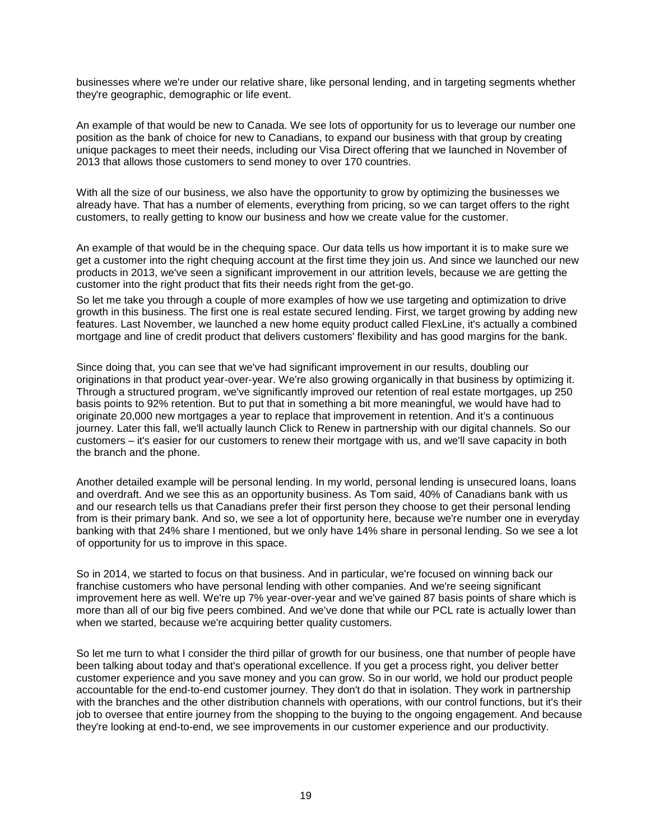businesses where we're under our relative share, like personal lending, and in targeting segments whether they're geographic, demographic or life event.

An example of that would be new to Canada. We see lots of opportunity for us to leverage our number one position as the bank of choice for new to Canadians, to expand our business with that group by creating unique packages to meet their needs, including our Visa Direct offering that we launched in November of 2013 that allows those customers to send money to over 170 countries.

With all the size of our business, we also have the opportunity to grow by optimizing the businesses we already have. That has a number of elements, everything from pricing, so we can target offers to the right customers, to really getting to know our business and how we create value for the customer.

An example of that would be in the chequing space. Our data tells us how important it is to make sure we get a customer into the right chequing account at the first time they join us. And since we launched our new products in 2013, we've seen a significant improvement in our attrition levels, because we are getting the customer into the right product that fits their needs right from the get-go.

So let me take you through a couple of more examples of how we use targeting and optimization to drive growth in this business. The first one is real estate secured lending. First, we target growing by adding new features. Last November, we launched a new home equity product called FlexLine, it's actually a combined mortgage and line of credit product that delivers customers' flexibility and has good margins for the bank.

Since doing that, you can see that we've had significant improvement in our results, doubling our originations in that product year-over-year. We're also growing organically in that business by optimizing it. Through a structured program, we've significantly improved our retention of real estate mortgages, up 250 basis points to 92% retention. But to put that in something a bit more meaningful, we would have had to originate 20,000 new mortgages a year to replace that improvement in retention. And it's a continuous journey. Later this fall, we'll actually launch Click to Renew in partnership with our digital channels. So our customers – it's easier for our customers to renew their mortgage with us, and we'll save capacity in both the branch and the phone.

Another detailed example will be personal lending. In my world, personal lending is unsecured loans, loans and overdraft. And we see this as an opportunity business. As Tom said, 40% of Canadians bank with us and our research tells us that Canadians prefer their first person they choose to get their personal lending from is their primary bank. And so, we see a lot of opportunity here, because we're number one in everyday banking with that 24% share I mentioned, but we only have 14% share in personal lending. So we see a lot of opportunity for us to improve in this space.

So in 2014, we started to focus on that business. And in particular, we're focused on winning back our franchise customers who have personal lending with other companies. And we're seeing significant improvement here as well. We're up 7% year-over-year and we've gained 87 basis points of share which is more than all of our big five peers combined. And we've done that while our PCL rate is actually lower than when we started, because we're acquiring better quality customers.

So let me turn to what I consider the third pillar of growth for our business, one that number of people have been talking about today and that's operational excellence. If you get a process right, you deliver better customer experience and you save money and you can grow. So in our world, we hold our product people accountable for the end-to-end customer journey. They don't do that in isolation. They work in partnership with the branches and the other distribution channels with operations, with our control functions, but it's their job to oversee that entire journey from the shopping to the buying to the ongoing engagement. And because they're looking at end-to-end, we see improvements in our customer experience and our productivity.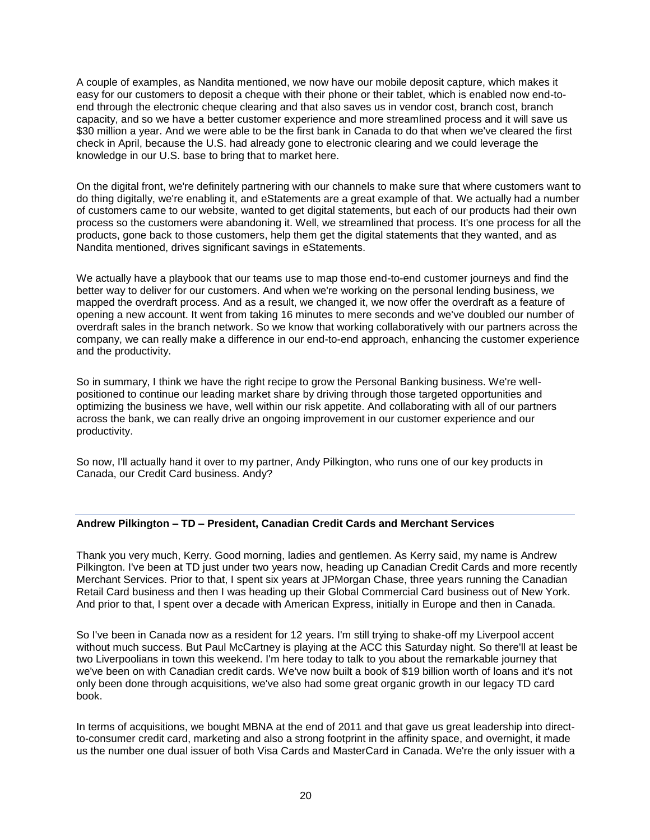A couple of examples, as Nandita mentioned, we now have our mobile deposit capture, which makes it easy for our customers to deposit a cheque with their phone or their tablet, which is enabled now end-toend through the electronic cheque clearing and that also saves us in vendor cost, branch cost, branch capacity, and so we have a better customer experience and more streamlined process and it will save us \$30 million a year. And we were able to be the first bank in Canada to do that when we've cleared the first check in April, because the U.S. had already gone to electronic clearing and we could leverage the knowledge in our U.S. base to bring that to market here.

On the digital front, we're definitely partnering with our channels to make sure that where customers want to do thing digitally, we're enabling it, and eStatements are a great example of that. We actually had a number of customers came to our website, wanted to get digital statements, but each of our products had their own process so the customers were abandoning it. Well, we streamlined that process. It's one process for all the products, gone back to those customers, help them get the digital statements that they wanted, and as Nandita mentioned, drives significant savings in eStatements.

We actually have a playbook that our teams use to map those end-to-end customer journeys and find the better way to deliver for our customers. And when we're working on the personal lending business, we mapped the overdraft process. And as a result, we changed it, we now offer the overdraft as a feature of opening a new account. It went from taking 16 minutes to mere seconds and we've doubled our number of overdraft sales in the branch network. So we know that working collaboratively with our partners across the company, we can really make a difference in our end-to-end approach, enhancing the customer experience and the productivity.

So in summary, I think we have the right recipe to grow the Personal Banking business. We're wellpositioned to continue our leading market share by driving through those targeted opportunities and optimizing the business we have, well within our risk appetite. And collaborating with all of our partners across the bank, we can really drive an ongoing improvement in our customer experience and our productivity.

So now, I'll actually hand it over to my partner, Andy Pilkington, who runs one of our key products in Canada, our Credit Card business. Andy?

# **Andrew Pilkington – TD – President, Canadian Credit Cards and Merchant Services**

Thank you very much, Kerry. Good morning, ladies and gentlemen. As Kerry said, my name is Andrew Pilkington. I've been at TD just under two years now, heading up Canadian Credit Cards and more recently Merchant Services. Prior to that, I spent six years at JPMorgan Chase, three years running the Canadian Retail Card business and then I was heading up their Global Commercial Card business out of New York. And prior to that, I spent over a decade with American Express, initially in Europe and then in Canada.

So I've been in Canada now as a resident for 12 years. I'm still trying to shake-off my Liverpool accent without much success. But Paul McCartney is playing at the ACC this Saturday night. So there'll at least be two Liverpoolians in town this weekend. I'm here today to talk to you about the remarkable journey that we've been on with Canadian credit cards. We've now built a book of \$19 billion worth of loans and it's not only been done through acquisitions, we've also had some great organic growth in our legacy TD card book.

In terms of acquisitions, we bought MBNA at the end of 2011 and that gave us great leadership into directto-consumer credit card, marketing and also a strong footprint in the affinity space, and overnight, it made us the number one dual issuer of both Visa Cards and MasterCard in Canada. We're the only issuer with a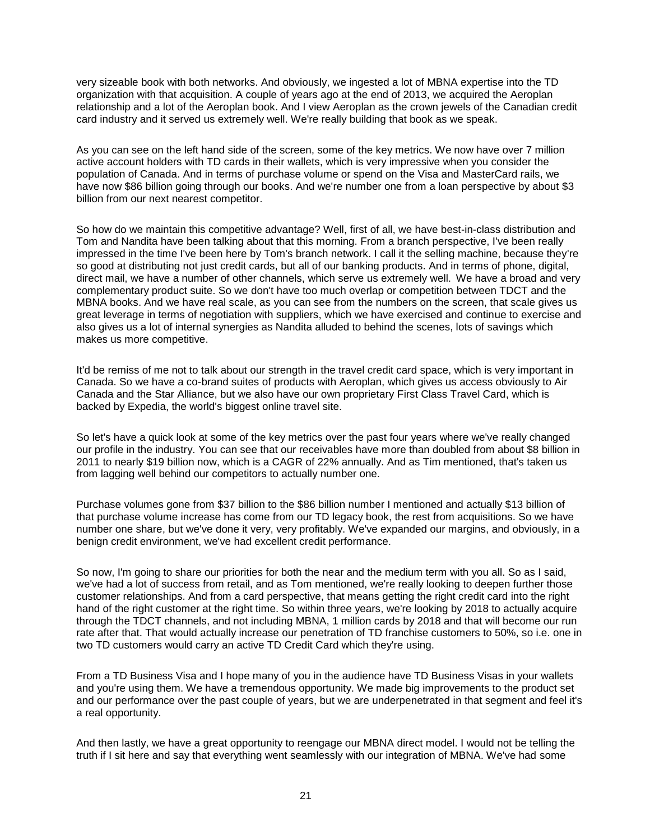very sizeable book with both networks. And obviously, we ingested a lot of MBNA expertise into the TD organization with that acquisition. A couple of years ago at the end of 2013, we acquired the Aeroplan relationship and a lot of the Aeroplan book. And I view Aeroplan as the crown jewels of the Canadian credit card industry and it served us extremely well. We're really building that book as we speak.

As you can see on the left hand side of the screen, some of the key metrics. We now have over 7 million active account holders with TD cards in their wallets, which is very impressive when you consider the population of Canada. And in terms of purchase volume or spend on the Visa and MasterCard rails, we have now \$86 billion going through our books. And we're number one from a loan perspective by about \$3 billion from our next nearest competitor.

So how do we maintain this competitive advantage? Well, first of all, we have best-in-class distribution and Tom and Nandita have been talking about that this morning. From a branch perspective, I've been really impressed in the time I've been here by Tom's branch network. I call it the selling machine, because they're so good at distributing not just credit cards, but all of our banking products. And in terms of phone, digital, direct mail, we have a number of other channels, which serve us extremely well. We have a broad and very complementary product suite. So we don't have too much overlap or competition between TDCT and the MBNA books. And we have real scale, as you can see from the numbers on the screen, that scale gives us great leverage in terms of negotiation with suppliers, which we have exercised and continue to exercise and also gives us a lot of internal synergies as Nandita alluded to behind the scenes, lots of savings which makes us more competitive.

It'd be remiss of me not to talk about our strength in the travel credit card space, which is very important in Canada. So we have a co-brand suites of products with Aeroplan, which gives us access obviously to Air Canada and the Star Alliance, but we also have our own proprietary First Class Travel Card, which is backed by Expedia, the world's biggest online travel site.

So let's have a quick look at some of the key metrics over the past four years where we've really changed our profile in the industry. You can see that our receivables have more than doubled from about \$8 billion in 2011 to nearly \$19 billion now, which is a CAGR of 22% annually. And as Tim mentioned, that's taken us from lagging well behind our competitors to actually number one.

Purchase volumes gone from \$37 billion to the \$86 billion number I mentioned and actually \$13 billion of that purchase volume increase has come from our TD legacy book, the rest from acquisitions. So we have number one share, but we've done it very, very profitably. We've expanded our margins, and obviously, in a benign credit environment, we've had excellent credit performance.

So now, I'm going to share our priorities for both the near and the medium term with you all. So as I said, we've had a lot of success from retail, and as Tom mentioned, we're really looking to deepen further those customer relationships. And from a card perspective, that means getting the right credit card into the right hand of the right customer at the right time. So within three years, we're looking by 2018 to actually acquire through the TDCT channels, and not including MBNA, 1 million cards by 2018 and that will become our run rate after that. That would actually increase our penetration of TD franchise customers to 50%, so i.e. one in two TD customers would carry an active TD Credit Card which they're using.

From a TD Business Visa and I hope many of you in the audience have TD Business Visas in your wallets and you're using them. We have a tremendous opportunity. We made big improvements to the product set and our performance over the past couple of years, but we are underpenetrated in that segment and feel it's a real opportunity.

And then lastly, we have a great opportunity to reengage our MBNA direct model. I would not be telling the truth if I sit here and say that everything went seamlessly with our integration of MBNA. We've had some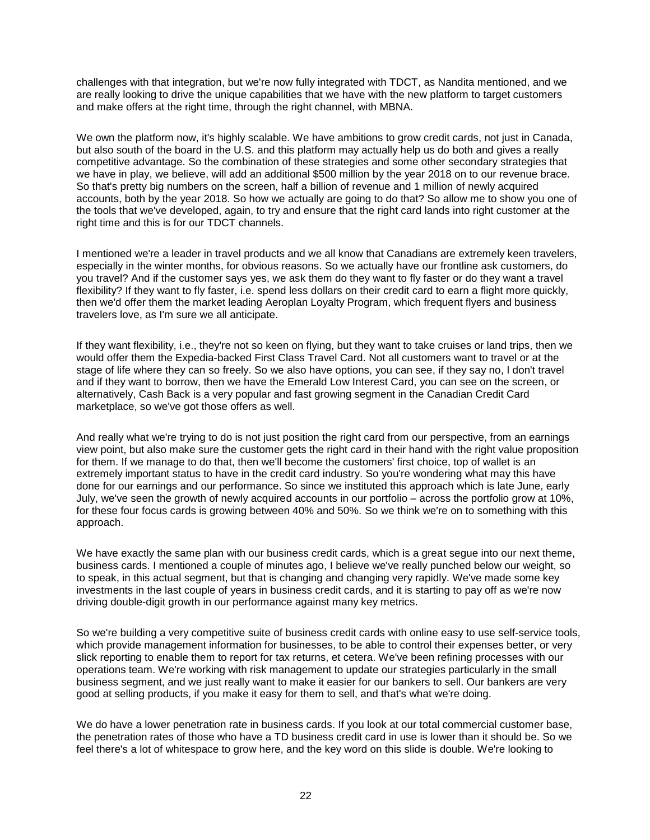challenges with that integration, but we're now fully integrated with TDCT, as Nandita mentioned, and we are really looking to drive the unique capabilities that we have with the new platform to target customers and make offers at the right time, through the right channel, with MBNA.

We own the platform now, it's highly scalable. We have ambitions to grow credit cards, not just in Canada, but also south of the board in the U.S. and this platform may actually help us do both and gives a really competitive advantage. So the combination of these strategies and some other secondary strategies that we have in play, we believe, will add an additional \$500 million by the year 2018 on to our revenue brace. So that's pretty big numbers on the screen, half a billion of revenue and 1 million of newly acquired accounts, both by the year 2018. So how we actually are going to do that? So allow me to show you one of the tools that we've developed, again, to try and ensure that the right card lands into right customer at the right time and this is for our TDCT channels.

I mentioned we're a leader in travel products and we all know that Canadians are extremely keen travelers, especially in the winter months, for obvious reasons. So we actually have our frontline ask customers, do you travel? And if the customer says yes, we ask them do they want to fly faster or do they want a travel flexibility? If they want to fly faster, i.e. spend less dollars on their credit card to earn a flight more quickly, then we'd offer them the market leading Aeroplan Loyalty Program, which frequent flyers and business travelers love, as I'm sure we all anticipate.

If they want flexibility, i.e., they're not so keen on flying, but they want to take cruises or land trips, then we would offer them the Expedia-backed First Class Travel Card. Not all customers want to travel or at the stage of life where they can so freely. So we also have options, you can see, if they say no, I don't travel and if they want to borrow, then we have the Emerald Low Interest Card, you can see on the screen, or alternatively, Cash Back is a very popular and fast growing segment in the Canadian Credit Card marketplace, so we've got those offers as well.

And really what we're trying to do is not just position the right card from our perspective, from an earnings view point, but also make sure the customer gets the right card in their hand with the right value proposition for them. If we manage to do that, then we'll become the customers' first choice, top of wallet is an extremely important status to have in the credit card industry. So you're wondering what may this have done for our earnings and our performance. So since we instituted this approach which is late June, early July, we've seen the growth of newly acquired accounts in our portfolio – across the portfolio grow at 10%, for these four focus cards is growing between 40% and 50%. So we think we're on to something with this approach.

We have exactly the same plan with our business credit cards, which is a great segue into our next theme, business cards. I mentioned a couple of minutes ago, I believe we've really punched below our weight, so to speak, in this actual segment, but that is changing and changing very rapidly. We've made some key investments in the last couple of years in business credit cards, and it is starting to pay off as we're now driving double-digit growth in our performance against many key metrics.

So we're building a very competitive suite of business credit cards with online easy to use self-service tools, which provide management information for businesses, to be able to control their expenses better, or very slick reporting to enable them to report for tax returns, et cetera. We've been refining processes with our operations team. We're working with risk management to update our strategies particularly in the small business segment, and we just really want to make it easier for our bankers to sell. Our bankers are very good at selling products, if you make it easy for them to sell, and that's what we're doing.

We do have a lower penetration rate in business cards. If you look at our total commercial customer base, the penetration rates of those who have a TD business credit card in use is lower than it should be. So we feel there's a lot of whitespace to grow here, and the key word on this slide is double. We're looking to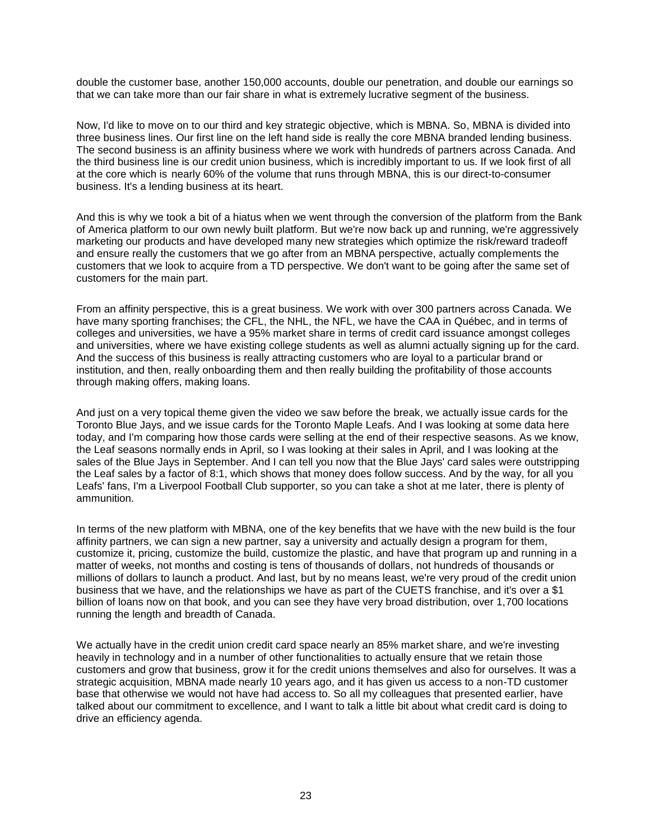double the customer base, another 150,000 accounts, double our penetration, and double our earnings so that we can take more than our fair share in what is extremely lucrative segment of the business.

Now, I'd like to move on to our third and key strategic objective, which is MBNA. So, MBNA is divided into three business lines. Our first line on the left hand side is really the core MBNA branded lending business. The second business is an affinity business where we work with hundreds of partners across Canada. And the third business line is our credit union business, which is incredibly important to us. If we look first of all at the core which is nearly 60% of the volume that runs through MBNA, this is our direct-to-consumer business. It's a lending business at its heart.

And this is why we took a bit of a hiatus when we went through the conversion of the platform from the Bank of America platform to our own newly built platform. But we're now back up and running, we're aggressively marketing our products and have developed many new strategies which optimize the risk/reward tradeoff and ensure really the customers that we go after from an MBNA perspective, actually complements the customers that we look to acquire from a TD perspective. We don't want to be going after the same set of customers for the main part.

From an affinity perspective, this is a great business. We work with over 300 partners across Canada. We have many sporting franchises; the CFL, the NHL, the NFL, we have the CAA in Québec, and in terms of colleges and universities, we have a 95% market share in terms of credit card issuance amongst colleges and universities, where we have existing college students as well as alumni actually signing up for the card. And the success of this business is really attracting customers who are loyal to a particular brand or institution, and then, really onboarding them and then really building the profitability of those accounts through making offers, making loans.

And just on a very topical theme given the video we saw before the break, we actually issue cards for the Toronto Blue Jays, and we issue cards for the Toronto Maple Leafs. And I was looking at some data here today, and I'm comparing how those cards were selling at the end of their respective seasons. As we know, the Leaf seasons normally ends in April, so I was looking at their sales in April, and I was looking at the sales of the Blue Jays in September. And I can tell you now that the Blue Jays' card sales were outstripping the Leaf sales by a factor of 8:1, which shows that money does follow success. And by the way, for all you Leafs' fans, I'm a Liverpool Football Club supporter, so you can take a shot at me later, there is plenty of ammunition.

In terms of the new platform with MBNA, one of the key benefits that we have with the new build is the four affinity partners, we can sign a new partner, say a university and actually design a program for them, customize it, pricing, customize the build, customize the plastic, and have that program up and running in a matter of weeks, not months and costing is tens of thousands of dollars, not hundreds of thousands or millions of dollars to launch a product. And last, but by no means least, we're very proud of the credit union business that we have, and the relationships we have as part of the CUETS franchise, and it's over a \$1 billion of loans now on that book, and you can see they have very broad distribution, over 1,700 locations running the length and breadth of Canada.

We actually have in the credit union credit card space nearly an 85% market share, and we're investing heavily in technology and in a number of other functionalities to actually ensure that we retain those customers and grow that business, grow it for the credit unions themselves and also for ourselves. It was a strategic acquisition, MBNA made nearly 10 years ago, and it has given us access to a non-TD customer base that otherwise we would not have had access to. So all my colleagues that presented earlier, have talked about our commitment to excellence, and I want to talk a little bit about what credit card is doing to drive an efficiency agenda.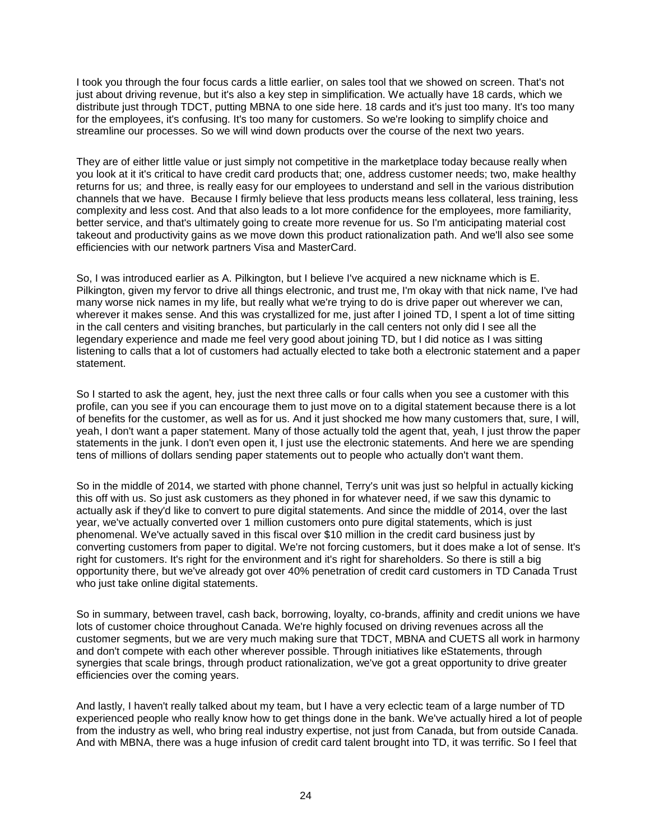I took you through the four focus cards a little earlier, on sales tool that we showed on screen. That's not just about driving revenue, but it's also a key step in simplification. We actually have 18 cards, which we distribute just through TDCT, putting MBNA to one side here. 18 cards and it's just too many. It's too many for the employees, it's confusing. It's too many for customers. So we're looking to simplify choice and streamline our processes. So we will wind down products over the course of the next two years.

They are of either little value or just simply not competitive in the marketplace today because really when you look at it it's critical to have credit card products that; one, address customer needs; two, make healthy returns for us; and three, is really easy for our employees to understand and sell in the various distribution channels that we have. Because I firmly believe that less products means less collateral, less training, less complexity and less cost. And that also leads to a lot more confidence for the employees, more familiarity, better service, and that's ultimately going to create more revenue for us. So I'm anticipating material cost takeout and productivity gains as we move down this product rationalization path. And we'll also see some efficiencies with our network partners Visa and MasterCard.

So, I was introduced earlier as A. Pilkington, but I believe I've acquired a new nickname which is E. Pilkington, given my fervor to drive all things electronic, and trust me, I'm okay with that nick name, I've had many worse nick names in my life, but really what we're trying to do is drive paper out wherever we can, wherever it makes sense. And this was crystallized for me, just after I joined TD, I spent a lot of time sitting in the call centers and visiting branches, but particularly in the call centers not only did I see all the legendary experience and made me feel very good about joining TD, but I did notice as I was sitting listening to calls that a lot of customers had actually elected to take both a electronic statement and a paper statement.

So I started to ask the agent, hey, just the next three calls or four calls when you see a customer with this profile, can you see if you can encourage them to just move on to a digital statement because there is a lot of benefits for the customer, as well as for us. And it just shocked me how many customers that, sure, I will, yeah, I don't want a paper statement. Many of those actually told the agent that, yeah, I just throw the paper statements in the junk. I don't even open it, I just use the electronic statements. And here we are spending tens of millions of dollars sending paper statements out to people who actually don't want them.

So in the middle of 2014, we started with phone channel, Terry's unit was just so helpful in actually kicking this off with us. So just ask customers as they phoned in for whatever need, if we saw this dynamic to actually ask if they'd like to convert to pure digital statements. And since the middle of 2014, over the last year, we've actually converted over 1 million customers onto pure digital statements, which is just phenomenal. We've actually saved in this fiscal over \$10 million in the credit card business just by converting customers from paper to digital. We're not forcing customers, but it does make a lot of sense. It's right for customers. It's right for the environment and it's right for shareholders. So there is still a big opportunity there, but we've already got over 40% penetration of credit card customers in TD Canada Trust who just take online digital statements.

So in summary, between travel, cash back, borrowing, loyalty, co-brands, affinity and credit unions we have lots of customer choice throughout Canada. We're highly focused on driving revenues across all the customer segments, but we are very much making sure that TDCT, MBNA and CUETS all work in harmony and don't compete with each other wherever possible. Through initiatives like eStatements, through synergies that scale brings, through product rationalization, we've got a great opportunity to drive greater efficiencies over the coming years.

And lastly, I haven't really talked about my team, but I have a very eclectic team of a large number of TD experienced people who really know how to get things done in the bank. We've actually hired a lot of people from the industry as well, who bring real industry expertise, not just from Canada, but from outside Canada. And with MBNA, there was a huge infusion of credit card talent brought into TD, it was terrific. So I feel that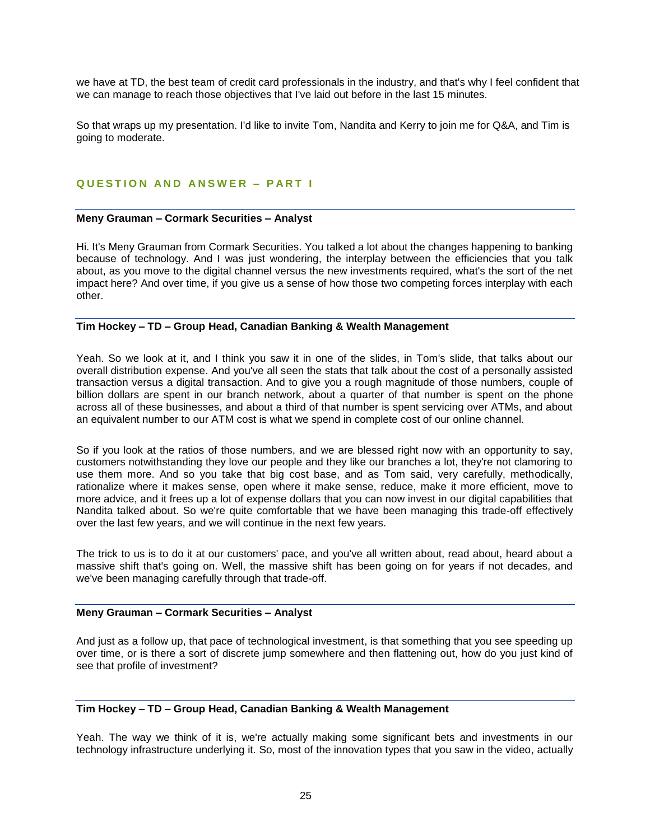we have at TD, the best team of credit card professionals in the industry, and that's why I feel confident that we can manage to reach those objectives that I've laid out before in the last 15 minutes.

So that wraps up my presentation. I'd like to invite Tom, Nandita and Kerry to join me for Q&A, and Tim is going to moderate.

# **QUESTION AND ANSWER - PART I**

#### **Meny Grauman – Cormark Securities – Analyst**

Hi. It's Meny Grauman from Cormark Securities. You talked a lot about the changes happening to banking because of technology. And I was just wondering, the interplay between the efficiencies that you talk about, as you move to the digital channel versus the new investments required, what's the sort of the net impact here? And over time, if you give us a sense of how those two competing forces interplay with each other.

# **Tim Hockey – TD – Group Head, Canadian Banking & Wealth Management**

Yeah. So we look at it, and I think you saw it in one of the slides, in Tom's slide, that talks about our overall distribution expense. And you've all seen the stats that talk about the cost of a personally assisted transaction versus a digital transaction. And to give you a rough magnitude of those numbers, couple of billion dollars are spent in our branch network, about a quarter of that number is spent on the phone across all of these businesses, and about a third of that number is spent servicing over ATMs, and about an equivalent number to our ATM cost is what we spend in complete cost of our online channel.

So if you look at the ratios of those numbers, and we are blessed right now with an opportunity to say, customers notwithstanding they love our people and they like our branches a lot, they're not clamoring to use them more. And so you take that big cost base, and as Tom said, very carefully, methodically, rationalize where it makes sense, open where it make sense, reduce, make it more efficient, move to more advice, and it frees up a lot of expense dollars that you can now invest in our digital capabilities that Nandita talked about. So we're quite comfortable that we have been managing this trade-off effectively over the last few years, and we will continue in the next few years.

The trick to us is to do it at our customers' pace, and you've all written about, read about, heard about a massive shift that's going on. Well, the massive shift has been going on for years if not decades, and we've been managing carefully through that trade-off.

#### **Meny Grauman – Cormark Securities – Analyst**

And just as a follow up, that pace of technological investment, is that something that you see speeding up over time, or is there a sort of discrete jump somewhere and then flattening out, how do you just kind of see that profile of investment?

# **Tim Hockey – TD – Group Head, Canadian Banking & Wealth Management**

Yeah. The way we think of it is, we're actually making some significant bets and investments in our technology infrastructure underlying it. So, most of the innovation types that you saw in the video, actually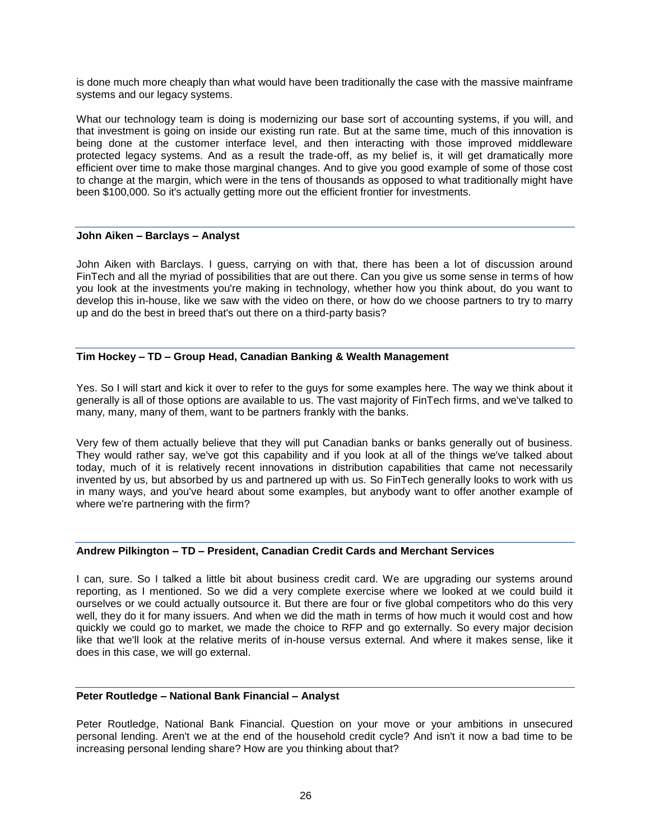is done much more cheaply than what would have been traditionally the case with the massive mainframe systems and our legacy systems.

What our technology team is doing is modernizing our base sort of accounting systems, if you will, and that investment is going on inside our existing run rate. But at the same time, much of this innovation is being done at the customer interface level, and then interacting with those improved middleware protected legacy systems. And as a result the trade-off, as my belief is, it will get dramatically more efficient over time to make those marginal changes. And to give you good example of some of those cost to change at the margin, which were in the tens of thousands as opposed to what traditionally might have been \$100,000. So it's actually getting more out the efficient frontier for investments.

# **John Aiken – Barclays – Analyst**

John Aiken with Barclays. I guess, carrying on with that, there has been a lot of discussion around FinTech and all the myriad of possibilities that are out there. Can you give us some sense in terms of how you look at the investments you're making in technology, whether how you think about, do you want to develop this in-house, like we saw with the video on there, or how do we choose partners to try to marry up and do the best in breed that's out there on a third-party basis?

# **Tim Hockey – TD – Group Head, Canadian Banking & Wealth Management**

Yes. So I will start and kick it over to refer to the guys for some examples here. The way we think about it generally is all of those options are available to us. The vast majority of FinTech firms, and we've talked to many, many, many of them, want to be partners frankly with the banks.

Very few of them actually believe that they will put Canadian banks or banks generally out of business. They would rather say, we've got this capability and if you look at all of the things we've talked about today, much of it is relatively recent innovations in distribution capabilities that came not necessarily invented by us, but absorbed by us and partnered up with us. So FinTech generally looks to work with us in many ways, and you've heard about some examples, but anybody want to offer another example of where we're partnering with the firm?

# **Andrew Pilkington – TD – President, Canadian Credit Cards and Merchant Services**

I can, sure. So I talked a little bit about business credit card. We are upgrading our systems around reporting, as I mentioned. So we did a very complete exercise where we looked at we could build it ourselves or we could actually outsource it. But there are four or five global competitors who do this very well, they do it for many issuers. And when we did the math in terms of how much it would cost and how quickly we could go to market, we made the choice to RFP and go externally. So every major decision like that we'll look at the relative merits of in-house versus external. And where it makes sense, like it does in this case, we will go external.

# **Peter Routledge – National Bank Financial – Analyst**

Peter Routledge, National Bank Financial. Question on your move or your ambitions in unsecured personal lending. Aren't we at the end of the household credit cycle? And isn't it now a bad time to be increasing personal lending share? How are you thinking about that?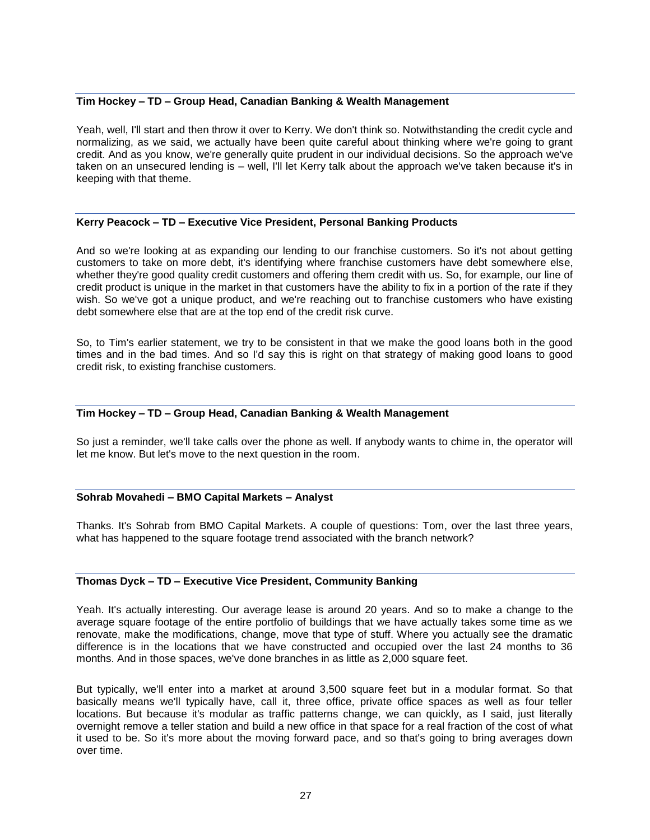# **Tim Hockey – TD – Group Head, Canadian Banking & Wealth Management**

Yeah, well, I'll start and then throw it over to Kerry. We don't think so. Notwithstanding the credit cycle and normalizing, as we said, we actually have been quite careful about thinking where we're going to grant credit. And as you know, we're generally quite prudent in our individual decisions. So the approach we've taken on an unsecured lending is – well, I'll let Kerry talk about the approach we've taken because it's in keeping with that theme.

# **Kerry Peacock – TD – Executive Vice President, Personal Banking Products**

And so we're looking at as expanding our lending to our franchise customers. So it's not about getting customers to take on more debt, it's identifying where franchise customers have debt somewhere else, whether they're good quality credit customers and offering them credit with us. So, for example, our line of credit product is unique in the market in that customers have the ability to fix in a portion of the rate if they wish. So we've got a unique product, and we're reaching out to franchise customers who have existing debt somewhere else that are at the top end of the credit risk curve.

So, to Tim's earlier statement, we try to be consistent in that we make the good loans both in the good times and in the bad times. And so I'd say this is right on that strategy of making good loans to good credit risk, to existing franchise customers.

# **Tim Hockey – TD – Group Head, Canadian Banking & Wealth Management**

So just a reminder, we'll take calls over the phone as well. If anybody wants to chime in, the operator will let me know. But let's move to the next question in the room.

# **Sohrab Movahedi – BMO Capital Markets – Analyst**

Thanks. It's Sohrab from BMO Capital Markets. A couple of questions: Tom, over the last three years, what has happened to the square footage trend associated with the branch network?

# **Thomas Dyck – TD – Executive Vice President, Community Banking**

Yeah. It's actually interesting. Our average lease is around 20 years. And so to make a change to the average square footage of the entire portfolio of buildings that we have actually takes some time as we renovate, make the modifications, change, move that type of stuff. Where you actually see the dramatic difference is in the locations that we have constructed and occupied over the last 24 months to 36 months. And in those spaces, we've done branches in as little as 2,000 square feet.

But typically, we'll enter into a market at around 3,500 square feet but in a modular format. So that basically means we'll typically have, call it, three office, private office spaces as well as four teller locations. But because it's modular as traffic patterns change, we can quickly, as I said, just literally overnight remove a teller station and build a new office in that space for a real fraction of the cost of what it used to be. So it's more about the moving forward pace, and so that's going to bring averages down over time.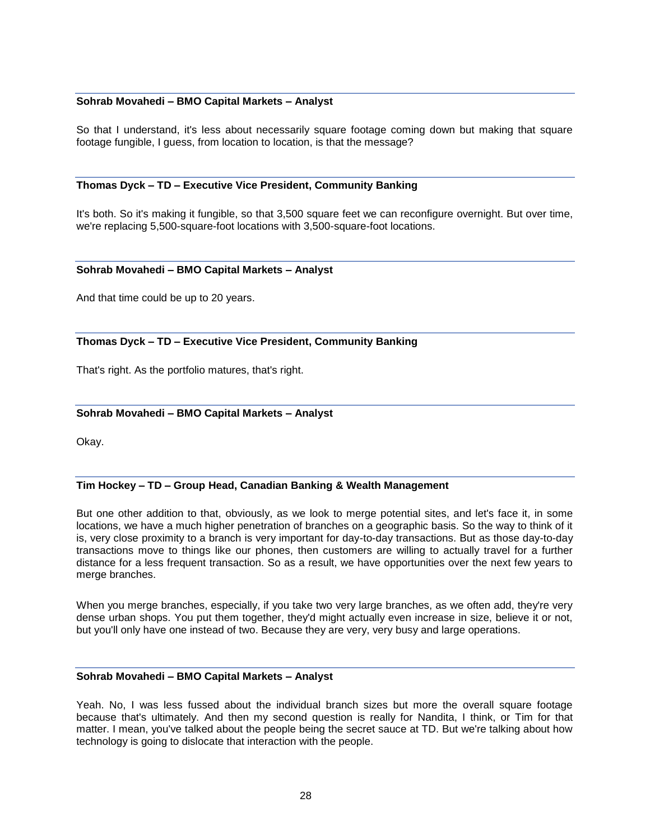# **Sohrab Movahedi – BMO Capital Markets – Analyst**

So that I understand, it's less about necessarily square footage coming down but making that square footage fungible, I guess, from location to location, is that the message?

#### **Thomas Dyck – TD – Executive Vice President, Community Banking**

It's both. So it's making it fungible, so that 3,500 square feet we can reconfigure overnight. But over time, we're replacing 5,500-square-foot locations with 3,500-square-foot locations.

#### **Sohrab Movahedi – BMO Capital Markets – Analyst**

And that time could be up to 20 years.

# **Thomas Dyck – TD – Executive Vice President, Community Banking**

That's right. As the portfolio matures, that's right.

#### **Sohrab Movahedi – BMO Capital Markets – Analyst**

Okay.

# **Tim Hockey – TD – Group Head, Canadian Banking & Wealth Management**

But one other addition to that, obviously, as we look to merge potential sites, and let's face it, in some locations, we have a much higher penetration of branches on a geographic basis. So the way to think of it is, very close proximity to a branch is very important for day-to-day transactions. But as those day-to-day transactions move to things like our phones, then customers are willing to actually travel for a further distance for a less frequent transaction. So as a result, we have opportunities over the next few years to merge branches.

When you merge branches, especially, if you take two very large branches, as we often add, they're very dense urban shops. You put them together, they'd might actually even increase in size, believe it or not, but you'll only have one instead of two. Because they are very, very busy and large operations.

#### **Sohrab Movahedi – BMO Capital Markets – Analyst**

Yeah. No, I was less fussed about the individual branch sizes but more the overall square footage because that's ultimately. And then my second question is really for Nandita, I think, or Tim for that matter. I mean, you've talked about the people being the secret sauce at TD. But we're talking about how technology is going to dislocate that interaction with the people.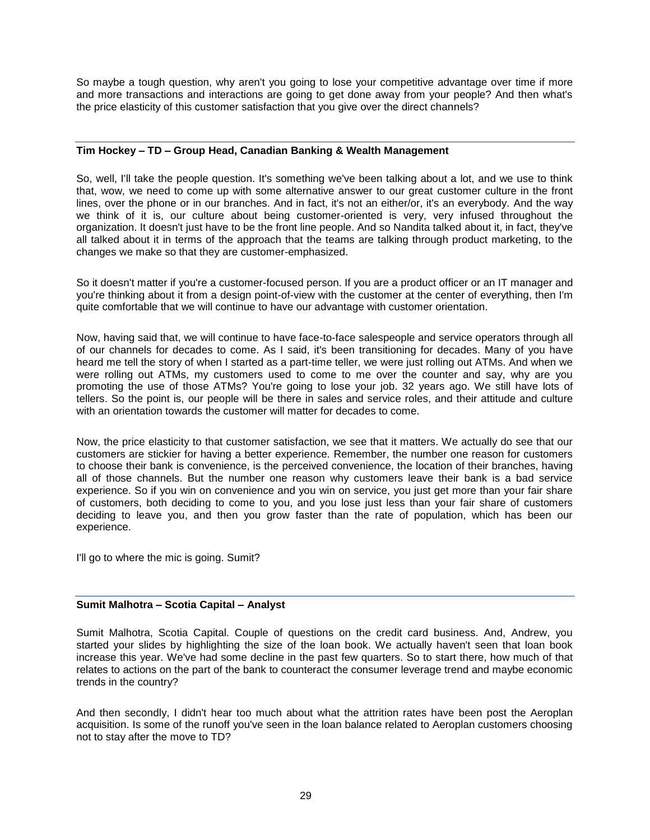So maybe a tough question, why aren't you going to lose your competitive advantage over time if more and more transactions and interactions are going to get done away from your people? And then what's the price elasticity of this customer satisfaction that you give over the direct channels?

# **Tim Hockey – TD – Group Head, Canadian Banking & Wealth Management**

So, well, I'll take the people question. It's something we've been talking about a lot, and we use to think that, wow, we need to come up with some alternative answer to our great customer culture in the front lines, over the phone or in our branches. And in fact, it's not an either/or, it's an everybody. And the way we think of it is, our culture about being customer-oriented is very, very infused throughout the organization. It doesn't just have to be the front line people. And so Nandita talked about it, in fact, they've all talked about it in terms of the approach that the teams are talking through product marketing, to the changes we make so that they are customer-emphasized.

So it doesn't matter if you're a customer-focused person. If you are a product officer or an IT manager and you're thinking about it from a design point-of-view with the customer at the center of everything, then I'm quite comfortable that we will continue to have our advantage with customer orientation.

Now, having said that, we will continue to have face-to-face salespeople and service operators through all of our channels for decades to come. As I said, it's been transitioning for decades. Many of you have heard me tell the story of when I started as a part-time teller, we were just rolling out ATMs. And when we were rolling out ATMs, my customers used to come to me over the counter and say, why are you promoting the use of those ATMs? You're going to lose your job. 32 years ago. We still have lots of tellers. So the point is, our people will be there in sales and service roles, and their attitude and culture with an orientation towards the customer will matter for decades to come.

Now, the price elasticity to that customer satisfaction, we see that it matters. We actually do see that our customers are stickier for having a better experience. Remember, the number one reason for customers to choose their bank is convenience, is the perceived convenience, the location of their branches, having all of those channels. But the number one reason why customers leave their bank is a bad service experience. So if you win on convenience and you win on service, you just get more than your fair share of customers, both deciding to come to you, and you lose just less than your fair share of customers deciding to leave you, and then you grow faster than the rate of population, which has been our experience.

I'll go to where the mic is going. Sumit?

# **Sumit Malhotra – Scotia Capital – Analyst**

Sumit Malhotra, Scotia Capital. Couple of questions on the credit card business. And, Andrew, you started your slides by highlighting the size of the loan book. We actually haven't seen that loan book increase this year. We've had some decline in the past few quarters. So to start there, how much of that relates to actions on the part of the bank to counteract the consumer leverage trend and maybe economic trends in the country?

And then secondly, I didn't hear too much about what the attrition rates have been post the Aeroplan acquisition. Is some of the runoff you've seen in the loan balance related to Aeroplan customers choosing not to stay after the move to TD?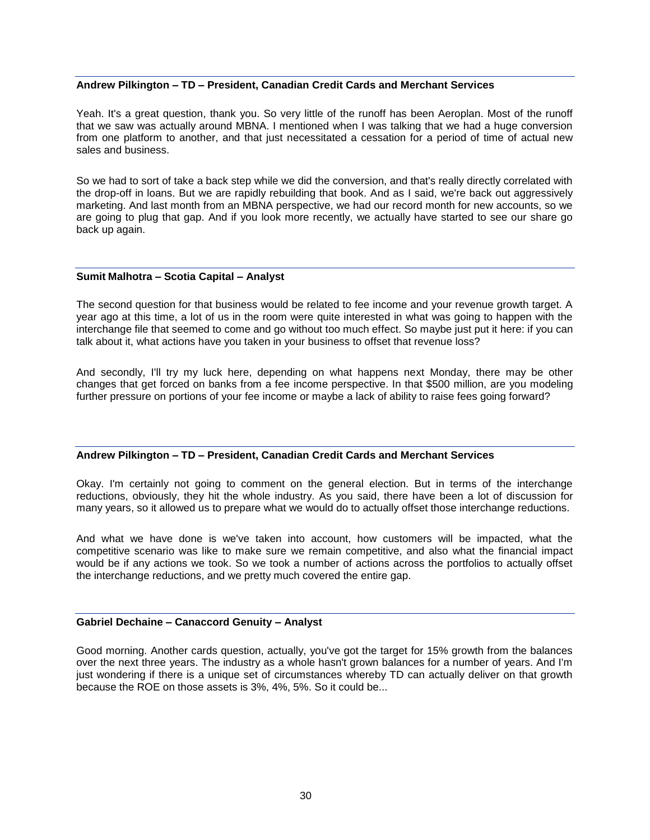# **Andrew Pilkington – TD – President, Canadian Credit Cards and Merchant Services**

Yeah. It's a great question, thank you. So very little of the runoff has been Aeroplan. Most of the runoff that we saw was actually around MBNA. I mentioned when I was talking that we had a huge conversion from one platform to another, and that just necessitated a cessation for a period of time of actual new sales and business.

So we had to sort of take a back step while we did the conversion, and that's really directly correlated with the drop-off in loans. But we are rapidly rebuilding that book. And as I said, we're back out aggressively marketing. And last month from an MBNA perspective, we had our record month for new accounts, so we are going to plug that gap. And if you look more recently, we actually have started to see our share go back up again.

#### **Sumit Malhotra – Scotia Capital – Analyst**

The second question for that business would be related to fee income and your revenue growth target. A year ago at this time, a lot of us in the room were quite interested in what was going to happen with the interchange file that seemed to come and go without too much effect. So maybe just put it here: if you can talk about it, what actions have you taken in your business to offset that revenue loss?

And secondly, I'll try my luck here, depending on what happens next Monday, there may be other changes that get forced on banks from a fee income perspective. In that \$500 million, are you modeling further pressure on portions of your fee income or maybe a lack of ability to raise fees going forward?

# **Andrew Pilkington – TD – President, Canadian Credit Cards and Merchant Services**

Okay. I'm certainly not going to comment on the general election. But in terms of the interchange reductions, obviously, they hit the whole industry. As you said, there have been a lot of discussion for many years, so it allowed us to prepare what we would do to actually offset those interchange reductions.

And what we have done is we've taken into account, how customers will be impacted, what the competitive scenario was like to make sure we remain competitive, and also what the financial impact would be if any actions we took. So we took a number of actions across the portfolios to actually offset the interchange reductions, and we pretty much covered the entire gap.

# **Gabriel Dechaine – Canaccord Genuity – Analyst**

Good morning. Another cards question, actually, you've got the target for 15% growth from the balances over the next three years. The industry as a whole hasn't grown balances for a number of years. And I'm just wondering if there is a unique set of circumstances whereby TD can actually deliver on that growth because the ROE on those assets is 3%, 4%, 5%. So it could be...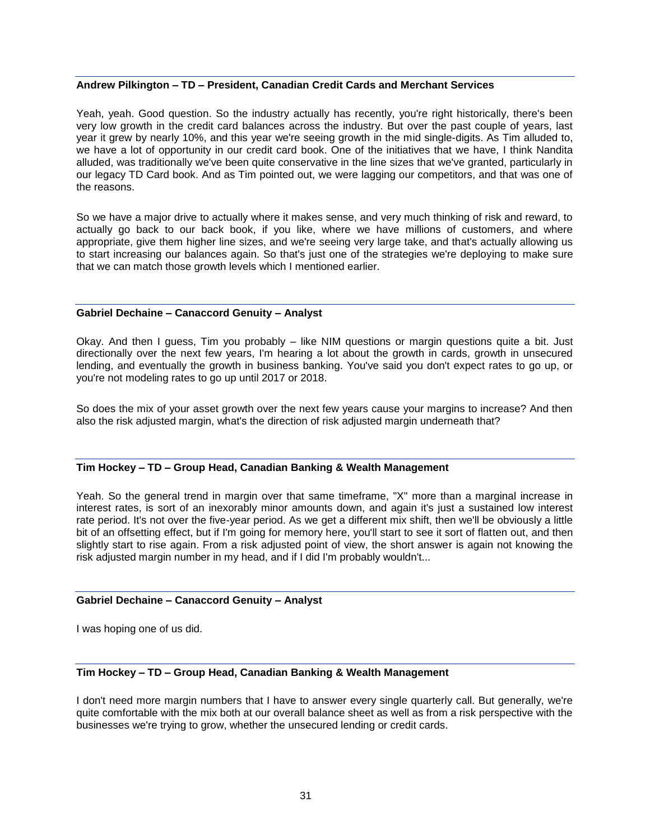# **Andrew Pilkington – TD – President, Canadian Credit Cards and Merchant Services**

Yeah, yeah. Good question. So the industry actually has recently, you're right historically, there's been very low growth in the credit card balances across the industry. But over the past couple of years, last year it grew by nearly 10%, and this year we're seeing growth in the mid single-digits. As Tim alluded to, we have a lot of opportunity in our credit card book. One of the initiatives that we have, I think Nandita alluded, was traditionally we've been quite conservative in the line sizes that we've granted, particularly in our legacy TD Card book. And as Tim pointed out, we were lagging our competitors, and that was one of the reasons.

So we have a major drive to actually where it makes sense, and very much thinking of risk and reward, to actually go back to our back book, if you like, where we have millions of customers, and where appropriate, give them higher line sizes, and we're seeing very large take, and that's actually allowing us to start increasing our balances again. So that's just one of the strategies we're deploying to make sure that we can match those growth levels which I mentioned earlier.

#### **Gabriel Dechaine – Canaccord Genuity – Analyst**

Okay. And then I guess, Tim you probably – like NIM questions or margin questions quite a bit. Just directionally over the next few years, I'm hearing a lot about the growth in cards, growth in unsecured lending, and eventually the growth in business banking. You've said you don't expect rates to go up, or you're not modeling rates to go up until 2017 or 2018.

So does the mix of your asset growth over the next few years cause your margins to increase? And then also the risk adjusted margin, what's the direction of risk adjusted margin underneath that?

# **Tim Hockey – TD – Group Head, Canadian Banking & Wealth Management**

Yeah. So the general trend in margin over that same timeframe, "X" more than a marginal increase in interest rates, is sort of an inexorably minor amounts down, and again it's just a sustained low interest rate period. It's not over the five-year period. As we get a different mix shift, then we'll be obviously a little bit of an offsetting effect, but if I'm going for memory here, you'll start to see it sort of flatten out, and then slightly start to rise again. From a risk adjusted point of view, the short answer is again not knowing the risk adjusted margin number in my head, and if I did I'm probably wouldn't...

#### **Gabriel Dechaine – Canaccord Genuity – Analyst**

I was hoping one of us did.

# **Tim Hockey – TD – Group Head, Canadian Banking & Wealth Management**

I don't need more margin numbers that I have to answer every single quarterly call. But generally, we're quite comfortable with the mix both at our overall balance sheet as well as from a risk perspective with the businesses we're trying to grow, whether the unsecured lending or credit cards.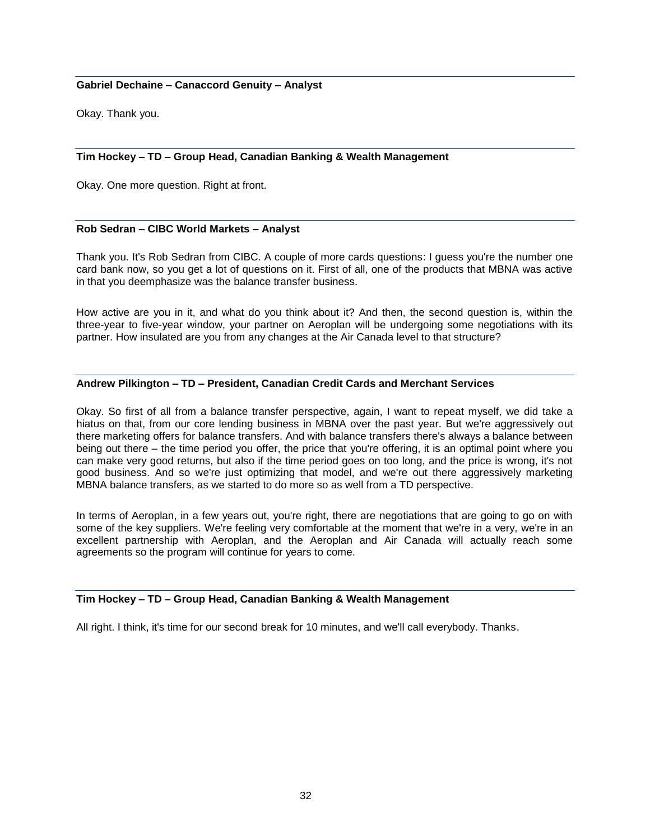# **Gabriel Dechaine – Canaccord Genuity – Analyst**

Okay. Thank you.

# **Tim Hockey – TD – Group Head, Canadian Banking & Wealth Management**

Okay. One more question. Right at front.

# **Rob Sedran – CIBC World Markets – Analyst**

Thank you. It's Rob Sedran from CIBC. A couple of more cards questions: I guess you're the number one card bank now, so you get a lot of questions on it. First of all, one of the products that MBNA was active in that you deemphasize was the balance transfer business.

How active are you in it, and what do you think about it? And then, the second question is, within the three-year to five-year window, your partner on Aeroplan will be undergoing some negotiations with its partner. How insulated are you from any changes at the Air Canada level to that structure?

#### **Andrew Pilkington – TD – President, Canadian Credit Cards and Merchant Services**

Okay. So first of all from a balance transfer perspective, again, I want to repeat myself, we did take a hiatus on that, from our core lending business in MBNA over the past year. But we're aggressively out there marketing offers for balance transfers. And with balance transfers there's always a balance between being out there – the time period you offer, the price that you're offering, it is an optimal point where you can make very good returns, but also if the time period goes on too long, and the price is wrong, it's not good business. And so we're just optimizing that model, and we're out there aggressively marketing MBNA balance transfers, as we started to do more so as well from a TD perspective.

In terms of Aeroplan, in a few years out, you're right, there are negotiations that are going to go on with some of the key suppliers. We're feeling very comfortable at the moment that we're in a very, we're in an excellent partnership with Aeroplan, and the Aeroplan and Air Canada will actually reach some agreements so the program will continue for years to come.

# **Tim Hockey – TD – Group Head, Canadian Banking & Wealth Management**

All right. I think, it's time for our second break for 10 minutes, and we'll call everybody. Thanks.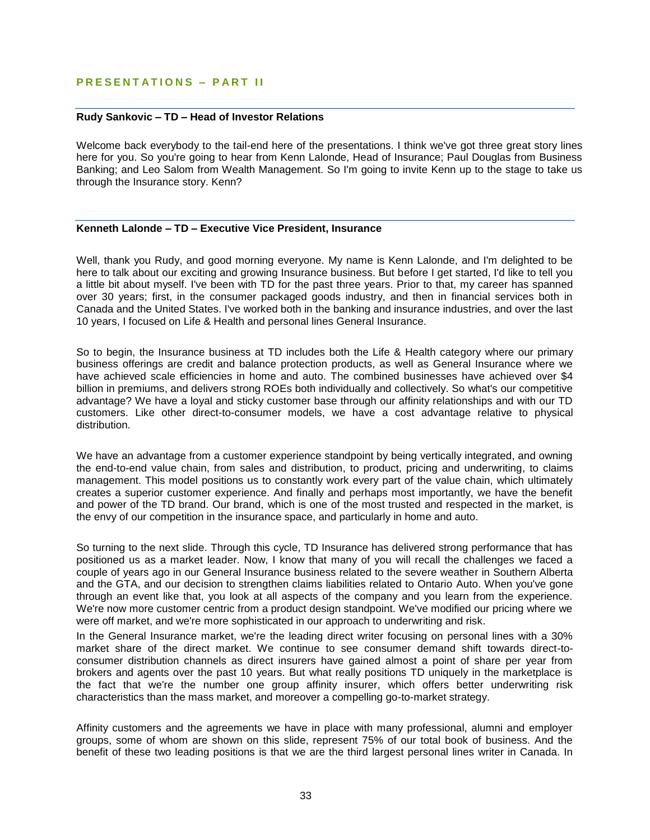# **PRESENTATIONS - PART II**

#### **Rudy Sankovic – TD – Head of Investor Relations**

Welcome back everybody to the tail-end here of the presentations. I think we've got three great story lines here for you. So you're going to hear from Kenn Lalonde, Head of Insurance; Paul Douglas from Business Banking; and Leo Salom from Wealth Management. So I'm going to invite Kenn up to the stage to take us through the Insurance story. Kenn?

# **Kenneth Lalonde – TD – Executive Vice President, Insurance**

Well, thank you Rudy, and good morning everyone. My name is Kenn Lalonde, and I'm delighted to be here to talk about our exciting and growing Insurance business. But before I get started, I'd like to tell you a little bit about myself. I've been with TD for the past three years. Prior to that, my career has spanned over 30 years; first, in the consumer packaged goods industry, and then in financial services both in Canada and the United States. I've worked both in the banking and insurance industries, and over the last 10 years, I focused on Life & Health and personal lines General Insurance.

So to begin, the Insurance business at TD includes both the Life & Health category where our primary business offerings are credit and balance protection products, as well as General Insurance where we have achieved scale efficiencies in home and auto. The combined businesses have achieved over \$4 billion in premiums, and delivers strong ROEs both individually and collectively. So what's our competitive advantage? We have a loyal and sticky customer base through our affinity relationships and with our TD customers. Like other direct-to-consumer models, we have a cost advantage relative to physical distribution.

We have an advantage from a customer experience standpoint by being vertically integrated, and owning the end-to-end value chain, from sales and distribution, to product, pricing and underwriting, to claims management. This model positions us to constantly work every part of the value chain, which ultimately creates a superior customer experience. And finally and perhaps most importantly, we have the benefit and power of the TD brand. Our brand, which is one of the most trusted and respected in the market, is the envy of our competition in the insurance space, and particularly in home and auto.

So turning to the next slide. Through this cycle, TD Insurance has delivered strong performance that has positioned us as a market leader. Now, I know that many of you will recall the challenges we faced a couple of years ago in our General Insurance business related to the severe weather in Southern Alberta and the GTA, and our decision to strengthen claims liabilities related to Ontario Auto. When you've gone through an event like that, you look at all aspects of the company and you learn from the experience. We're now more customer centric from a product design standpoint. We've modified our pricing where we were off market, and we're more sophisticated in our approach to underwriting and risk.

In the General Insurance market, we're the leading direct writer focusing on personal lines with a 30% market share of the direct market. We continue to see consumer demand shift towards direct-toconsumer distribution channels as direct insurers have gained almost a point of share per year from brokers and agents over the past 10 years. But what really positions TD uniquely in the marketplace is the fact that we're the number one group affinity insurer, which offers better underwriting risk characteristics than the mass market, and moreover a compelling go-to-market strategy.

Affinity customers and the agreements we have in place with many professional, alumni and employer groups, some of whom are shown on this slide, represent 75% of our total book of business. And the benefit of these two leading positions is that we are the third largest personal lines writer in Canada. In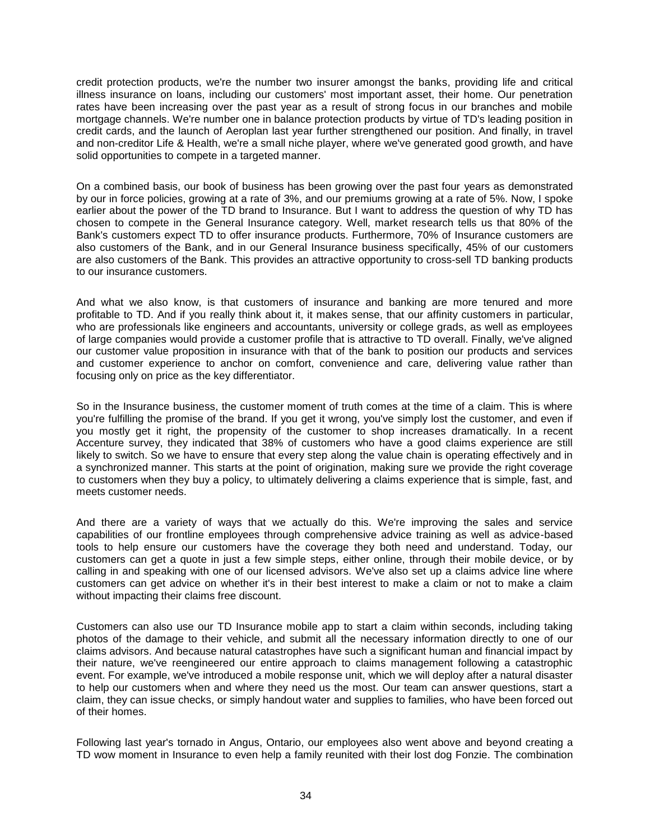credit protection products, we're the number two insurer amongst the banks, providing life and critical illness insurance on loans, including our customers' most important asset, their home. Our penetration rates have been increasing over the past year as a result of strong focus in our branches and mobile mortgage channels. We're number one in balance protection products by virtue of TD's leading position in credit cards, and the launch of Aeroplan last year further strengthened our position. And finally, in travel and non-creditor Life & Health, we're a small niche player, where we've generated good growth, and have solid opportunities to compete in a targeted manner.

On a combined basis, our book of business has been growing over the past four years as demonstrated by our in force policies, growing at a rate of 3%, and our premiums growing at a rate of 5%. Now, I spoke earlier about the power of the TD brand to Insurance. But I want to address the question of why TD has chosen to compete in the General Insurance category. Well, market research tells us that 80% of the Bank's customers expect TD to offer insurance products. Furthermore, 70% of Insurance customers are also customers of the Bank, and in our General Insurance business specifically, 45% of our customers are also customers of the Bank. This provides an attractive opportunity to cross-sell TD banking products to our insurance customers.

And what we also know, is that customers of insurance and banking are more tenured and more profitable to TD. And if you really think about it, it makes sense, that our affinity customers in particular, who are professionals like engineers and accountants, university or college grads, as well as employees of large companies would provide a customer profile that is attractive to TD overall. Finally, we've aligned our customer value proposition in insurance with that of the bank to position our products and services and customer experience to anchor on comfort, convenience and care, delivering value rather than focusing only on price as the key differentiator.

So in the Insurance business, the customer moment of truth comes at the time of a claim. This is where you're fulfilling the promise of the brand. If you get it wrong, you've simply lost the customer, and even if you mostly get it right, the propensity of the customer to shop increases dramatically. In a recent Accenture survey, they indicated that 38% of customers who have a good claims experience are still likely to switch. So we have to ensure that every step along the value chain is operating effectively and in a synchronized manner. This starts at the point of origination, making sure we provide the right coverage to customers when they buy a policy, to ultimately delivering a claims experience that is simple, fast, and meets customer needs.

And there are a variety of ways that we actually do this. We're improving the sales and service capabilities of our frontline employees through comprehensive advice training as well as advice-based tools to help ensure our customers have the coverage they both need and understand. Today, our customers can get a quote in just a few simple steps, either online, through their mobile device, or by calling in and speaking with one of our licensed advisors. We've also set up a claims advice line where customers can get advice on whether it's in their best interest to make a claim or not to make a claim without impacting their claims free discount.

Customers can also use our TD Insurance mobile app to start a claim within seconds, including taking photos of the damage to their vehicle, and submit all the necessary information directly to one of our claims advisors. And because natural catastrophes have such a significant human and financial impact by their nature, we've reengineered our entire approach to claims management following a catastrophic event. For example, we've introduced a mobile response unit, which we will deploy after a natural disaster to help our customers when and where they need us the most. Our team can answer questions, start a claim, they can issue checks, or simply handout water and supplies to families, who have been forced out of their homes.

Following last year's tornado in Angus, Ontario, our employees also went above and beyond creating a TD wow moment in Insurance to even help a family reunited with their lost dog Fonzie. The combination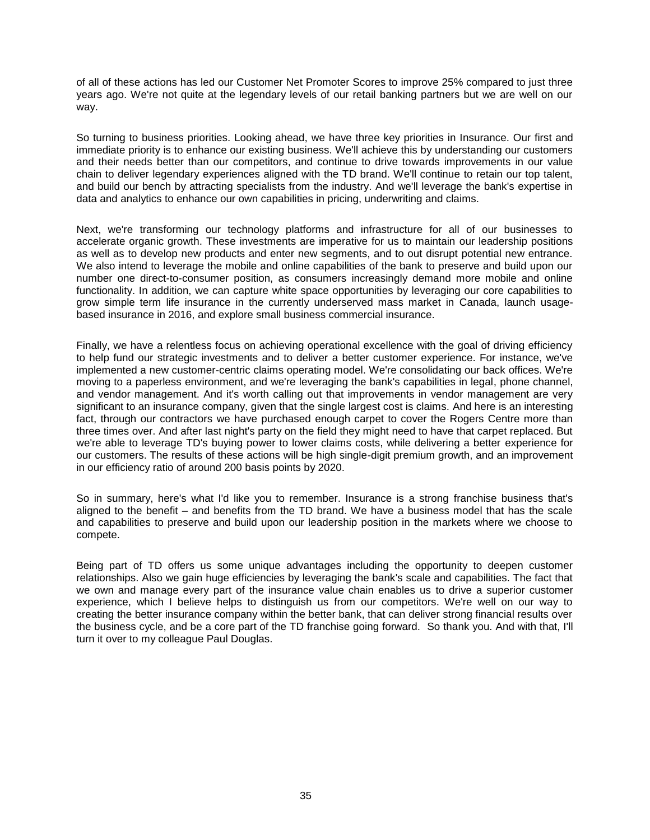of all of these actions has led our Customer Net Promoter Scores to improve 25% compared to just three years ago. We're not quite at the legendary levels of our retail banking partners but we are well on our way.

So turning to business priorities. Looking ahead, we have three key priorities in Insurance. Our first and immediate priority is to enhance our existing business. We'll achieve this by understanding our customers and their needs better than our competitors, and continue to drive towards improvements in our value chain to deliver legendary experiences aligned with the TD brand. We'll continue to retain our top talent, and build our bench by attracting specialists from the industry. And we'll leverage the bank's expertise in data and analytics to enhance our own capabilities in pricing, underwriting and claims.

Next, we're transforming our technology platforms and infrastructure for all of our businesses to accelerate organic growth. These investments are imperative for us to maintain our leadership positions as well as to develop new products and enter new segments, and to out disrupt potential new entrance. We also intend to leverage the mobile and online capabilities of the bank to preserve and build upon our number one direct-to-consumer position, as consumers increasingly demand more mobile and online functionality. In addition, we can capture white space opportunities by leveraging our core capabilities to grow simple term life insurance in the currently underserved mass market in Canada, launch usagebased insurance in 2016, and explore small business commercial insurance.

Finally, we have a relentless focus on achieving operational excellence with the goal of driving efficiency to help fund our strategic investments and to deliver a better customer experience. For instance, we've implemented a new customer-centric claims operating model. We're consolidating our back offices. We're moving to a paperless environment, and we're leveraging the bank's capabilities in legal, phone channel, and vendor management. And it's worth calling out that improvements in vendor management are very significant to an insurance company, given that the single largest cost is claims. And here is an interesting fact, through our contractors we have purchased enough carpet to cover the Rogers Centre more than three times over. And after last night's party on the field they might need to have that carpet replaced. But we're able to leverage TD's buying power to lower claims costs, while delivering a better experience for our customers. The results of these actions will be high single-digit premium growth, and an improvement in our efficiency ratio of around 200 basis points by 2020.

So in summary, here's what I'd like you to remember. Insurance is a strong franchise business that's aligned to the benefit – and benefits from the TD brand. We have a business model that has the scale and capabilities to preserve and build upon our leadership position in the markets where we choose to compete.

Being part of TD offers us some unique advantages including the opportunity to deepen customer relationships. Also we gain huge efficiencies by leveraging the bank's scale and capabilities. The fact that we own and manage every part of the insurance value chain enables us to drive a superior customer experience, which I believe helps to distinguish us from our competitors. We're well on our way to creating the better insurance company within the better bank, that can deliver strong financial results over the business cycle, and be a core part of the TD franchise going forward. So thank you. And with that, I'll turn it over to my colleague Paul Douglas.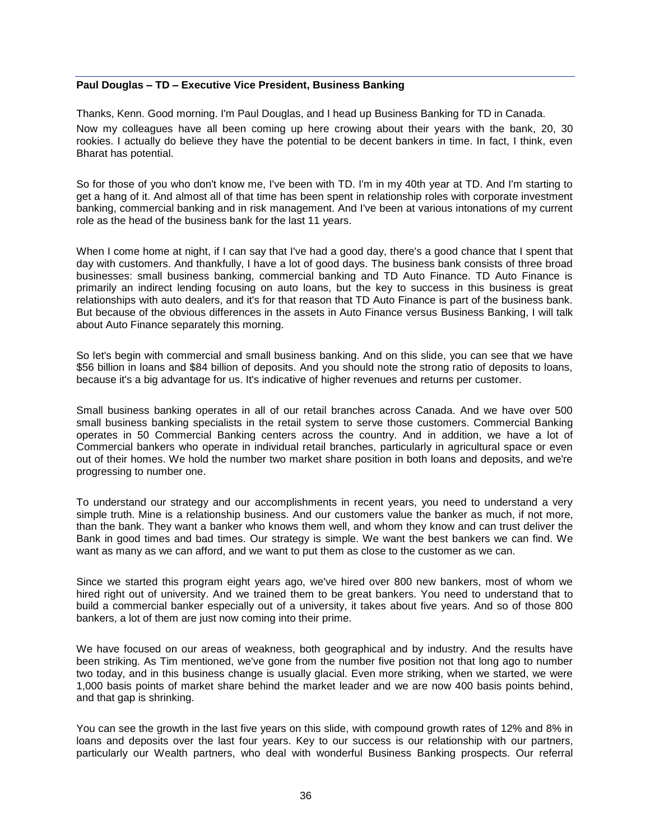# **Paul Douglas – TD – Executive Vice President, Business Banking**

Thanks, Kenn. Good morning. I'm Paul Douglas, and I head up Business Banking for TD in Canada.

Now my colleagues have all been coming up here crowing about their years with the bank, 20, 30 rookies. I actually do believe they have the potential to be decent bankers in time. In fact, I think, even Bharat has potential.

So for those of you who don't know me, I've been with TD. I'm in my 40th year at TD. And I'm starting to get a hang of it. And almost all of that time has been spent in relationship roles with corporate investment banking, commercial banking and in risk management. And I've been at various intonations of my current role as the head of the business bank for the last 11 years.

When I come home at night, if I can say that I've had a good day, there's a good chance that I spent that day with customers. And thankfully, I have a lot of good days. The business bank consists of three broad businesses: small business banking, commercial banking and TD Auto Finance. TD Auto Finance is primarily an indirect lending focusing on auto loans, but the key to success in this business is great relationships with auto dealers, and it's for that reason that TD Auto Finance is part of the business bank. But because of the obvious differences in the assets in Auto Finance versus Business Banking, I will talk about Auto Finance separately this morning.

So let's begin with commercial and small business banking. And on this slide, you can see that we have \$56 billion in loans and \$84 billion of deposits. And you should note the strong ratio of deposits to loans, because it's a big advantage for us. It's indicative of higher revenues and returns per customer.

Small business banking operates in all of our retail branches across Canada. And we have over 500 small business banking specialists in the retail system to serve those customers. Commercial Banking operates in 50 Commercial Banking centers across the country. And in addition, we have a lot of Commercial bankers who operate in individual retail branches, particularly in agricultural space or even out of their homes. We hold the number two market share position in both loans and deposits, and we're progressing to number one.

To understand our strategy and our accomplishments in recent years, you need to understand a very simple truth. Mine is a relationship business. And our customers value the banker as much, if not more, than the bank. They want a banker who knows them well, and whom they know and can trust deliver the Bank in good times and bad times. Our strategy is simple. We want the best bankers we can find. We want as many as we can afford, and we want to put them as close to the customer as we can.

Since we started this program eight years ago, we've hired over 800 new bankers, most of whom we hired right out of university. And we trained them to be great bankers. You need to understand that to build a commercial banker especially out of a university, it takes about five years. And so of those 800 bankers, a lot of them are just now coming into their prime.

We have focused on our areas of weakness, both geographical and by industry. And the results have been striking. As Tim mentioned, we've gone from the number five position not that long ago to number two today, and in this business change is usually glacial. Even more striking, when we started, we were 1,000 basis points of market share behind the market leader and we are now 400 basis points behind, and that gap is shrinking.

You can see the growth in the last five years on this slide, with compound growth rates of 12% and 8% in loans and deposits over the last four years. Key to our success is our relationship with our partners, particularly our Wealth partners, who deal with wonderful Business Banking prospects. Our referral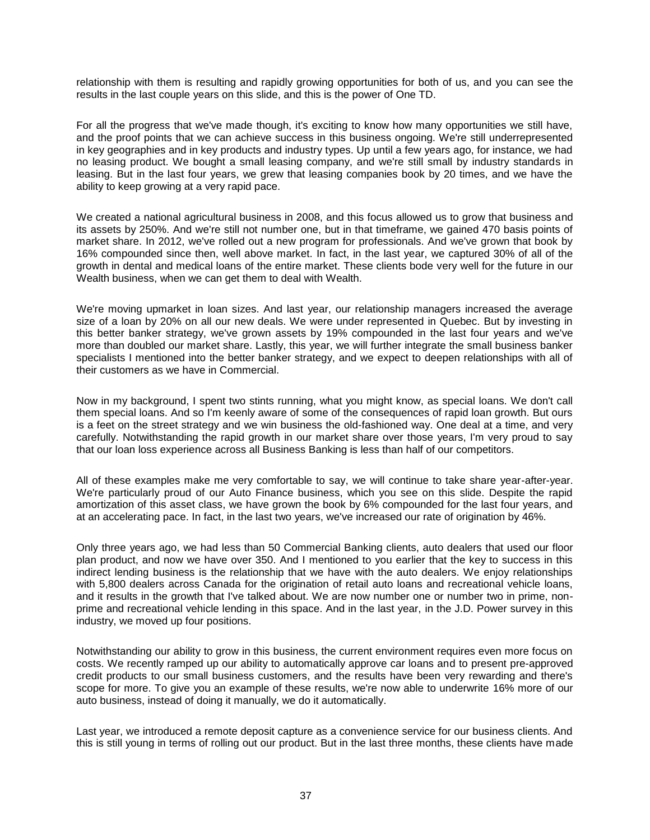relationship with them is resulting and rapidly growing opportunities for both of us, and you can see the results in the last couple years on this slide, and this is the power of One TD.

For all the progress that we've made though, it's exciting to know how many opportunities we still have, and the proof points that we can achieve success in this business ongoing. We're still underrepresented in key geographies and in key products and industry types. Up until a few years ago, for instance, we had no leasing product. We bought a small leasing company, and we're still small by industry standards in leasing. But in the last four years, we grew that leasing companies book by 20 times, and we have the ability to keep growing at a very rapid pace.

We created a national agricultural business in 2008, and this focus allowed us to grow that business and its assets by 250%. And we're still not number one, but in that timeframe, we gained 470 basis points of market share. In 2012, we've rolled out a new program for professionals. And we've grown that book by 16% compounded since then, well above market. In fact, in the last year, we captured 30% of all of the growth in dental and medical loans of the entire market. These clients bode very well for the future in our Wealth business, when we can get them to deal with Wealth.

We're moving upmarket in loan sizes. And last year, our relationship managers increased the average size of a loan by 20% on all our new deals. We were under represented in Quebec. But by investing in this better banker strategy, we've grown assets by 19% compounded in the last four years and we've more than doubled our market share. Lastly, this year, we will further integrate the small business banker specialists I mentioned into the better banker strategy, and we expect to deepen relationships with all of their customers as we have in Commercial.

Now in my background, I spent two stints running, what you might know, as special loans. We don't call them special loans. And so I'm keenly aware of some of the consequences of rapid loan growth. But ours is a feet on the street strategy and we win business the old-fashioned way. One deal at a time, and very carefully. Notwithstanding the rapid growth in our market share over those years, I'm very proud to say that our loan loss experience across all Business Banking is less than half of our competitors.

All of these examples make me very comfortable to say, we will continue to take share year-after-year. We're particularly proud of our Auto Finance business, which you see on this slide. Despite the rapid amortization of this asset class, we have grown the book by 6% compounded for the last four years, and at an accelerating pace. In fact, in the last two years, we've increased our rate of origination by 46%.

Only three years ago, we had less than 50 Commercial Banking clients, auto dealers that used our floor plan product, and now we have over 350. And I mentioned to you earlier that the key to success in this indirect lending business is the relationship that we have with the auto dealers. We enjoy relationships with 5,800 dealers across Canada for the origination of retail auto loans and recreational vehicle loans, and it results in the growth that I've talked about. We are now number one or number two in prime, nonprime and recreational vehicle lending in this space. And in the last year, in the J.D. Power survey in this industry, we moved up four positions.

Notwithstanding our ability to grow in this business, the current environment requires even more focus on costs. We recently ramped up our ability to automatically approve car loans and to present pre-approved credit products to our small business customers, and the results have been very rewarding and there's scope for more. To give you an example of these results, we're now able to underwrite 16% more of our auto business, instead of doing it manually, we do it automatically.

Last year, we introduced a remote deposit capture as a convenience service for our business clients. And this is still young in terms of rolling out our product. But in the last three months, these clients have made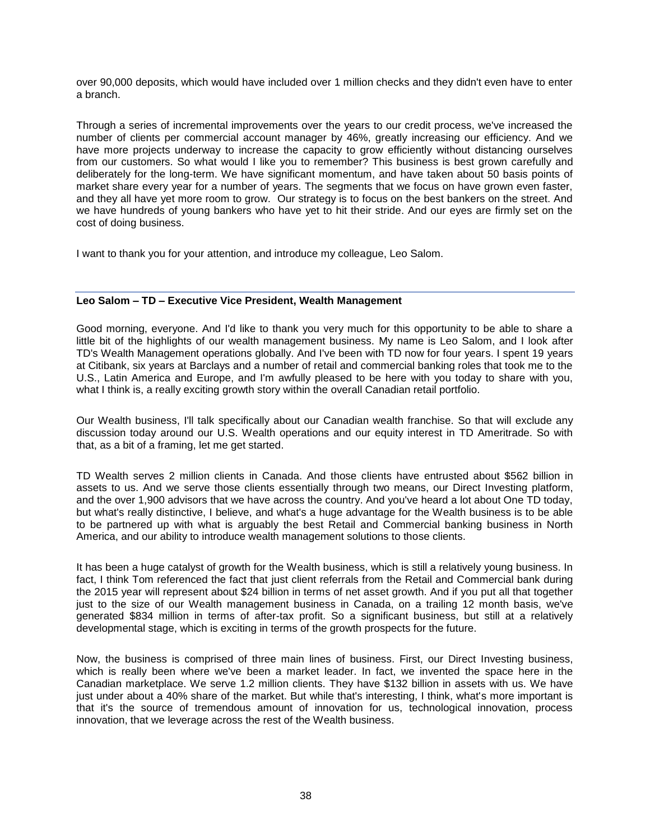over 90,000 deposits, which would have included over 1 million checks and they didn't even have to enter a branch.

Through a series of incremental improvements over the years to our credit process, we've increased the number of clients per commercial account manager by 46%, greatly increasing our efficiency. And we have more projects underway to increase the capacity to grow efficiently without distancing ourselves from our customers. So what would I like you to remember? This business is best grown carefully and deliberately for the long-term. We have significant momentum, and have taken about 50 basis points of market share every year for a number of years. The segments that we focus on have grown even faster, and they all have yet more room to grow. Our strategy is to focus on the best bankers on the street. And we have hundreds of young bankers who have yet to hit their stride. And our eyes are firmly set on the cost of doing business.

I want to thank you for your attention, and introduce my colleague, Leo Salom.

# **Leo Salom – TD – Executive Vice President, Wealth Management**

Good morning, everyone. And I'd like to thank you very much for this opportunity to be able to share a little bit of the highlights of our wealth management business. My name is Leo Salom, and I look after TD's Wealth Management operations globally. And I've been with TD now for four years. I spent 19 years at Citibank, six years at Barclays and a number of retail and commercial banking roles that took me to the U.S., Latin America and Europe, and I'm awfully pleased to be here with you today to share with you, what I think is, a really exciting growth story within the overall Canadian retail portfolio.

Our Wealth business, I'll talk specifically about our Canadian wealth franchise. So that will exclude any discussion today around our U.S. Wealth operations and our equity interest in TD Ameritrade. So with that, as a bit of a framing, let me get started.

TD Wealth serves 2 million clients in Canada. And those clients have entrusted about \$562 billion in assets to us. And we serve those clients essentially through two means, our Direct Investing platform, and the over 1,900 advisors that we have across the country. And you've heard a lot about One TD today, but what's really distinctive, I believe, and what's a huge advantage for the Wealth business is to be able to be partnered up with what is arguably the best Retail and Commercial banking business in North America, and our ability to introduce wealth management solutions to those clients.

It has been a huge catalyst of growth for the Wealth business, which is still a relatively young business. In fact. I think Tom referenced the fact that just client referrals from the Retail and Commercial bank during the 2015 year will represent about \$24 billion in terms of net asset growth. And if you put all that together just to the size of our Wealth management business in Canada, on a trailing 12 month basis, we've generated \$834 million in terms of after-tax profit. So a significant business, but still at a relatively developmental stage, which is exciting in terms of the growth prospects for the future.

Now, the business is comprised of three main lines of business. First, our Direct Investing business, which is really been where we've been a market leader. In fact, we invented the space here in the Canadian marketplace. We serve 1.2 million clients. They have \$132 billion in assets with us. We have just under about a 40% share of the market. But while that's interesting, I think, what's more important is that it's the source of tremendous amount of innovation for us, technological innovation, process innovation, that we leverage across the rest of the Wealth business.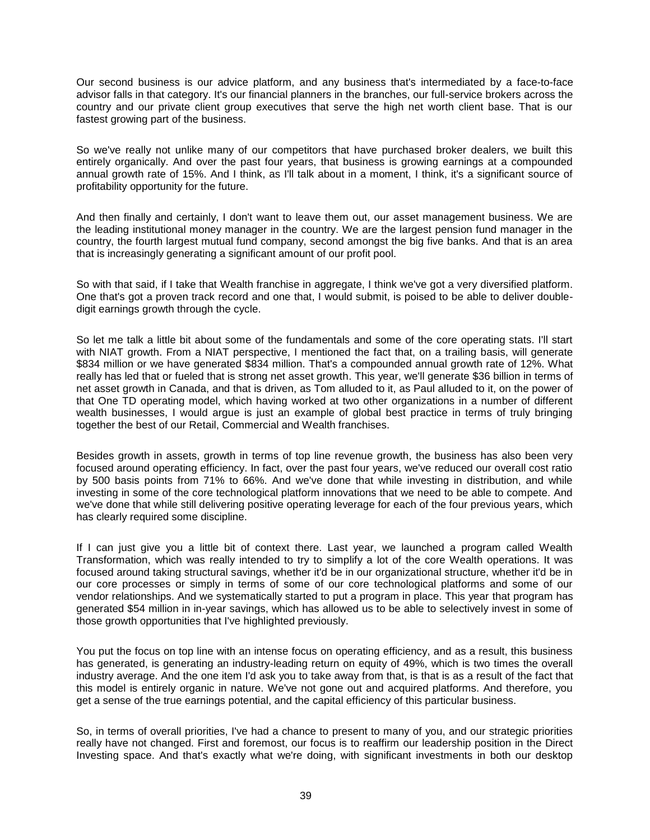Our second business is our advice platform, and any business that's intermediated by a face-to-face advisor falls in that category. It's our financial planners in the branches, our full-service brokers across the country and our private client group executives that serve the high net worth client base. That is our fastest growing part of the business.

So we've really not unlike many of our competitors that have purchased broker dealers, we built this entirely organically. And over the past four years, that business is growing earnings at a compounded annual growth rate of 15%. And I think, as I'll talk about in a moment, I think, it's a significant source of profitability opportunity for the future.

And then finally and certainly, I don't want to leave them out, our asset management business. We are the leading institutional money manager in the country. We are the largest pension fund manager in the country, the fourth largest mutual fund company, second amongst the big five banks. And that is an area that is increasingly generating a significant amount of our profit pool.

So with that said, if I take that Wealth franchise in aggregate, I think we've got a very diversified platform. One that's got a proven track record and one that, I would submit, is poised to be able to deliver doubledigit earnings growth through the cycle.

So let me talk a little bit about some of the fundamentals and some of the core operating stats. I'll start with NIAT growth. From a NIAT perspective, I mentioned the fact that, on a trailing basis, will generate \$834 million or we have generated \$834 million. That's a compounded annual growth rate of 12%. What really has led that or fueled that is strong net asset growth. This year, we'll generate \$36 billion in terms of net asset growth in Canada, and that is driven, as Tom alluded to it, as Paul alluded to it, on the power of that One TD operating model, which having worked at two other organizations in a number of different wealth businesses, I would argue is just an example of global best practice in terms of truly bringing together the best of our Retail, Commercial and Wealth franchises.

Besides growth in assets, growth in terms of top line revenue growth, the business has also been very focused around operating efficiency. In fact, over the past four years, we've reduced our overall cost ratio by 500 basis points from 71% to 66%. And we've done that while investing in distribution, and while investing in some of the core technological platform innovations that we need to be able to compete. And we've done that while still delivering positive operating leverage for each of the four previous years, which has clearly required some discipline.

If I can just give you a little bit of context there. Last year, we launched a program called Wealth Transformation, which was really intended to try to simplify a lot of the core Wealth operations. It was focused around taking structural savings, whether it'd be in our organizational structure, whether it'd be in our core processes or simply in terms of some of our core technological platforms and some of our vendor relationships. And we systematically started to put a program in place. This year that program has generated \$54 million in in-year savings, which has allowed us to be able to selectively invest in some of those growth opportunities that I've highlighted previously.

You put the focus on top line with an intense focus on operating efficiency, and as a result, this business has generated, is generating an industry-leading return on equity of 49%, which is two times the overall industry average. And the one item I'd ask you to take away from that, is that is as a result of the fact that this model is entirely organic in nature. We've not gone out and acquired platforms. And therefore, you get a sense of the true earnings potential, and the capital efficiency of this particular business.

So, in terms of overall priorities, I've had a chance to present to many of you, and our strategic priorities really have not changed. First and foremost, our focus is to reaffirm our leadership position in the Direct Investing space. And that's exactly what we're doing, with significant investments in both our desktop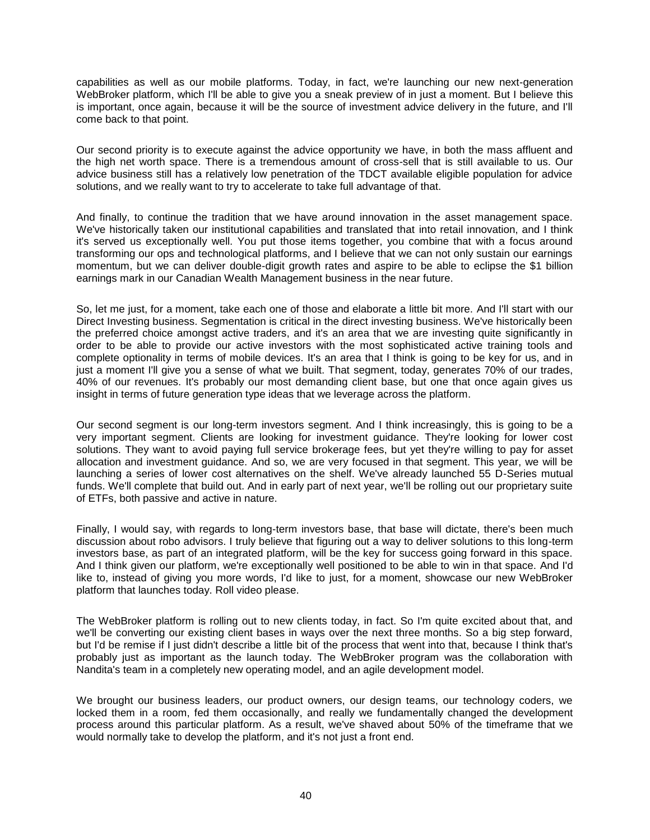capabilities as well as our mobile platforms. Today, in fact, we're launching our new next-generation WebBroker platform, which I'll be able to give you a sneak preview of in just a moment. But I believe this is important, once again, because it will be the source of investment advice delivery in the future, and I'll come back to that point.

Our second priority is to execute against the advice opportunity we have, in both the mass affluent and the high net worth space. There is a tremendous amount of cross-sell that is still available to us. Our advice business still has a relatively low penetration of the TDCT available eligible population for advice solutions, and we really want to try to accelerate to take full advantage of that.

And finally, to continue the tradition that we have around innovation in the asset management space. We've historically taken our institutional capabilities and translated that into retail innovation, and I think it's served us exceptionally well. You put those items together, you combine that with a focus around transforming our ops and technological platforms, and I believe that we can not only sustain our earnings momentum, but we can deliver double-digit growth rates and aspire to be able to eclipse the \$1 billion earnings mark in our Canadian Wealth Management business in the near future.

So, let me just, for a moment, take each one of those and elaborate a little bit more. And I'll start with our Direct Investing business. Segmentation is critical in the direct investing business. We've historically been the preferred choice amongst active traders, and it's an area that we are investing quite significantly in order to be able to provide our active investors with the most sophisticated active training tools and complete optionality in terms of mobile devices. It's an area that I think is going to be key for us, and in just a moment I'll give you a sense of what we built. That segment, today, generates 70% of our trades, 40% of our revenues. It's probably our most demanding client base, but one that once again gives us insight in terms of future generation type ideas that we leverage across the platform.

Our second segment is our long-term investors segment. And I think increasingly, this is going to be a very important segment. Clients are looking for investment guidance. They're looking for lower cost solutions. They want to avoid paying full service brokerage fees, but yet they're willing to pay for asset allocation and investment guidance. And so, we are very focused in that segment. This year, we will be launching a series of lower cost alternatives on the shelf. We've already launched 55 D-Series mutual funds. We'll complete that build out. And in early part of next year, we'll be rolling out our proprietary suite of ETFs, both passive and active in nature.

Finally, I would say, with regards to long-term investors base, that base will dictate, there's been much discussion about robo advisors. I truly believe that figuring out a way to deliver solutions to this long-term investors base, as part of an integrated platform, will be the key for success going forward in this space. And I think given our platform, we're exceptionally well positioned to be able to win in that space. And I'd like to, instead of giving you more words, I'd like to just, for a moment, showcase our new WebBroker platform that launches today. Roll video please.

The WebBroker platform is rolling out to new clients today, in fact. So I'm quite excited about that, and we'll be converting our existing client bases in ways over the next three months. So a big step forward, but I'd be remise if I just didn't describe a little bit of the process that went into that, because I think that's probably just as important as the launch today. The WebBroker program was the collaboration with Nandita's team in a completely new operating model, and an agile development model.

We brought our business leaders, our product owners, our design teams, our technology coders, we locked them in a room, fed them occasionally, and really we fundamentally changed the development process around this particular platform. As a result, we've shaved about 50% of the timeframe that we would normally take to develop the platform, and it's not just a front end.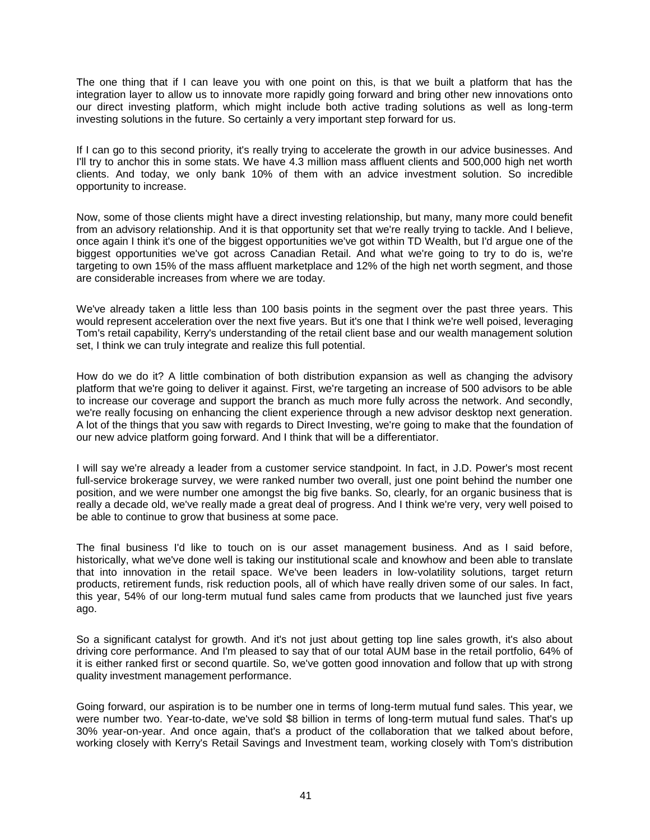The one thing that if I can leave you with one point on this, is that we built a platform that has the integration layer to allow us to innovate more rapidly going forward and bring other new innovations onto our direct investing platform, which might include both active trading solutions as well as long-term investing solutions in the future. So certainly a very important step forward for us.

If I can go to this second priority, it's really trying to accelerate the growth in our advice businesses. And I'll try to anchor this in some stats. We have 4.3 million mass affluent clients and 500,000 high net worth clients. And today, we only bank 10% of them with an advice investment solution. So incredible opportunity to increase.

Now, some of those clients might have a direct investing relationship, but many, many more could benefit from an advisory relationship. And it is that opportunity set that we're really trying to tackle. And I believe, once again I think it's one of the biggest opportunities we've got within TD Wealth, but I'd argue one of the biggest opportunities we've got across Canadian Retail. And what we're going to try to do is, we're targeting to own 15% of the mass affluent marketplace and 12% of the high net worth segment, and those are considerable increases from where we are today.

We've already taken a little less than 100 basis points in the segment over the past three years. This would represent acceleration over the next five years. But it's one that I think we're well poised, leveraging Tom's retail capability, Kerry's understanding of the retail client base and our wealth management solution set, I think we can truly integrate and realize this full potential.

How do we do it? A little combination of both distribution expansion as well as changing the advisory platform that we're going to deliver it against. First, we're targeting an increase of 500 advisors to be able to increase our coverage and support the branch as much more fully across the network. And secondly, we're really focusing on enhancing the client experience through a new advisor desktop next generation. A lot of the things that you saw with regards to Direct Investing, we're going to make that the foundation of our new advice platform going forward. And I think that will be a differentiator.

I will say we're already a leader from a customer service standpoint. In fact, in J.D. Power's most recent full-service brokerage survey, we were ranked number two overall, just one point behind the number one position, and we were number one amongst the big five banks. So, clearly, for an organic business that is really a decade old, we've really made a great deal of progress. And I think we're very, very well poised to be able to continue to grow that business at some pace.

The final business I'd like to touch on is our asset management business. And as I said before, historically, what we've done well is taking our institutional scale and knowhow and been able to translate that into innovation in the retail space. We've been leaders in low-volatility solutions, target return products, retirement funds, risk reduction pools, all of which have really driven some of our sales. In fact, this year, 54% of our long-term mutual fund sales came from products that we launched just five years ago.

So a significant catalyst for growth. And it's not just about getting top line sales growth, it's also about driving core performance. And I'm pleased to say that of our total AUM base in the retail portfolio, 64% of it is either ranked first or second quartile. So, we've gotten good innovation and follow that up with strong quality investment management performance.

Going forward, our aspiration is to be number one in terms of long-term mutual fund sales. This year, we were number two. Year-to-date, we've sold \$8 billion in terms of long-term mutual fund sales. That's up 30% year-on-year. And once again, that's a product of the collaboration that we talked about before, working closely with Kerry's Retail Savings and Investment team, working closely with Tom's distribution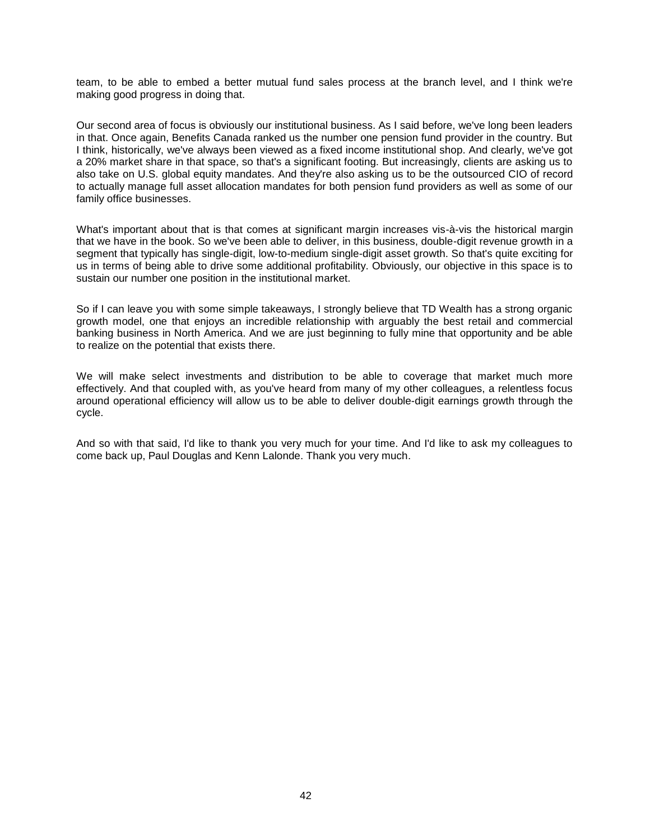team, to be able to embed a better mutual fund sales process at the branch level, and I think we're making good progress in doing that.

Our second area of focus is obviously our institutional business. As I said before, we've long been leaders in that. Once again, Benefits Canada ranked us the number one pension fund provider in the country. But I think, historically, we've always been viewed as a fixed income institutional shop. And clearly, we've got a 20% market share in that space, so that's a significant footing. But increasingly, clients are asking us to also take on U.S. global equity mandates. And they're also asking us to be the outsourced CIO of record to actually manage full asset allocation mandates for both pension fund providers as well as some of our family office businesses.

What's important about that is that comes at significant margin increases vis-à-vis the historical margin that we have in the book. So we've been able to deliver, in this business, double-digit revenue growth in a segment that typically has single-digit, low-to-medium single-digit asset growth. So that's quite exciting for us in terms of being able to drive some additional profitability. Obviously, our objective in this space is to sustain our number one position in the institutional market.

So if I can leave you with some simple takeaways, I strongly believe that TD Wealth has a strong organic growth model, one that enjoys an incredible relationship with arguably the best retail and commercial banking business in North America. And we are just beginning to fully mine that opportunity and be able to realize on the potential that exists there.

We will make select investments and distribution to be able to coverage that market much more effectively. And that coupled with, as you've heard from many of my other colleagues, a relentless focus around operational efficiency will allow us to be able to deliver double-digit earnings growth through the cycle.

And so with that said, I'd like to thank you very much for your time. And I'd like to ask my colleagues to come back up, Paul Douglas and Kenn Lalonde. Thank you very much.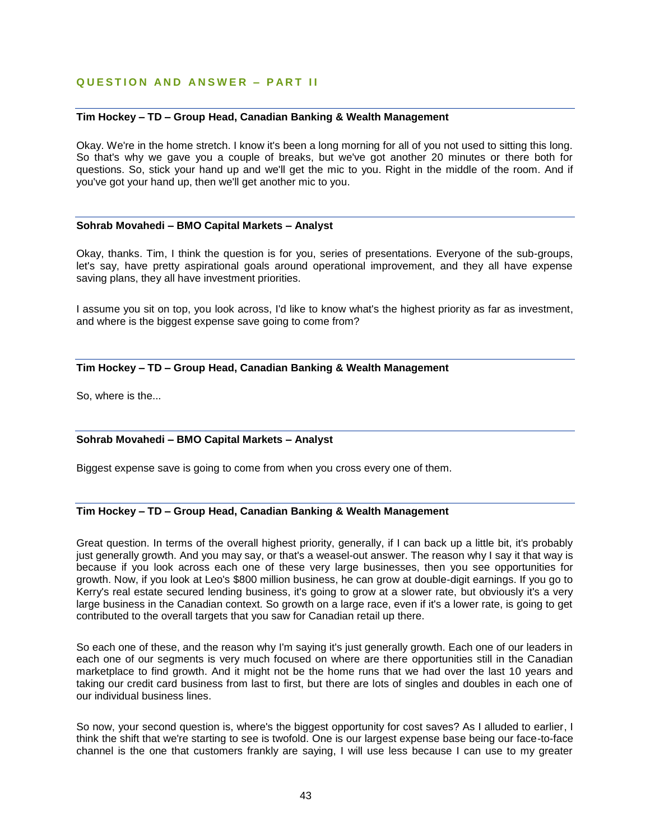# **Q U E S T I O N A N D A N S W E R – P A R T I I**

# **Tim Hockey – TD – Group Head, Canadian Banking & Wealth Management**

Okay. We're in the home stretch. I know it's been a long morning for all of you not used to sitting this long. So that's why we gave you a couple of breaks, but we've got another 20 minutes or there both for questions. So, stick your hand up and we'll get the mic to you. Right in the middle of the room. And if you've got your hand up, then we'll get another mic to you.

#### **Sohrab Movahedi – BMO Capital Markets – Analyst**

Okay, thanks. Tim, I think the question is for you, series of presentations. Everyone of the sub-groups, let's say, have pretty aspirational goals around operational improvement, and they all have expense saving plans, they all have investment priorities.

I assume you sit on top, you look across, I'd like to know what's the highest priority as far as investment, and where is the biggest expense save going to come from?

# **Tim Hockey – TD – Group Head, Canadian Banking & Wealth Management**

So, where is the...

# **Sohrab Movahedi – BMO Capital Markets – Analyst**

Biggest expense save is going to come from when you cross every one of them.

# **Tim Hockey – TD – Group Head, Canadian Banking & Wealth Management**

Great question. In terms of the overall highest priority, generally, if I can back up a little bit, it's probably just generally growth. And you may say, or that's a weasel-out answer. The reason why I say it that way is because if you look across each one of these very large businesses, then you see opportunities for growth. Now, if you look at Leo's \$800 million business, he can grow at double-digit earnings. If you go to Kerry's real estate secured lending business, it's going to grow at a slower rate, but obviously it's a very large business in the Canadian context. So growth on a large race, even if it's a lower rate, is going to get contributed to the overall targets that you saw for Canadian retail up there.

So each one of these, and the reason why I'm saying it's just generally growth. Each one of our leaders in each one of our segments is very much focused on where are there opportunities still in the Canadian marketplace to find growth. And it might not be the home runs that we had over the last 10 years and taking our credit card business from last to first, but there are lots of singles and doubles in each one of our individual business lines.

So now, your second question is, where's the biggest opportunity for cost saves? As I alluded to earlier, I think the shift that we're starting to see is twofold. One is our largest expense base being our face-to-face channel is the one that customers frankly are saying, I will use less because I can use to my greater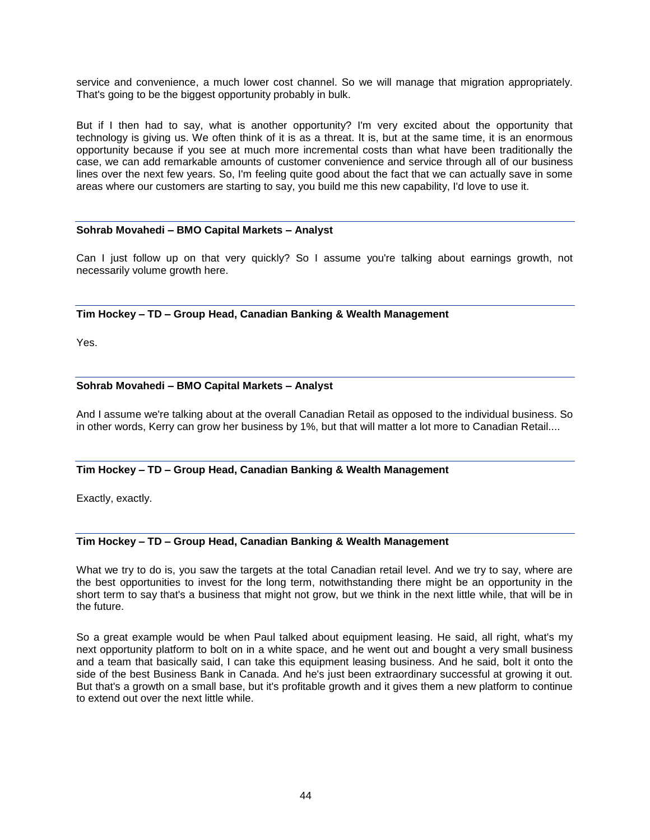service and convenience, a much lower cost channel. So we will manage that migration appropriately. That's going to be the biggest opportunity probably in bulk.

But if I then had to say, what is another opportunity? I'm very excited about the opportunity that technology is giving us. We often think of it is as a threat. It is, but at the same time, it is an enormous opportunity because if you see at much more incremental costs than what have been traditionally the case, we can add remarkable amounts of customer convenience and service through all of our business lines over the next few years. So, I'm feeling quite good about the fact that we can actually save in some areas where our customers are starting to say, you build me this new capability, I'd love to use it.

# **Sohrab Movahedi – BMO Capital Markets – Analyst**

Can I just follow up on that very quickly? So I assume you're talking about earnings growth, not necessarily volume growth here.

# **Tim Hockey – TD – Group Head, Canadian Banking & Wealth Management**

Yes.

# **Sohrab Movahedi – BMO Capital Markets – Analyst**

And I assume we're talking about at the overall Canadian Retail as opposed to the individual business. So in other words, Kerry can grow her business by 1%, but that will matter a lot more to Canadian Retail....

# **Tim Hockey – TD – Group Head, Canadian Banking & Wealth Management**

Exactly, exactly.

# **Tim Hockey – TD – Group Head, Canadian Banking & Wealth Management**

What we try to do is, you saw the targets at the total Canadian retail level. And we try to say, where are the best opportunities to invest for the long term, notwithstanding there might be an opportunity in the short term to say that's a business that might not grow, but we think in the next little while, that will be in the future.

So a great example would be when Paul talked about equipment leasing. He said, all right, what's my next opportunity platform to bolt on in a white space, and he went out and bought a very small business and a team that basically said, I can take this equipment leasing business. And he said, bolt it onto the side of the best Business Bank in Canada. And he's just been extraordinary successful at growing it out. But that's a growth on a small base, but it's profitable growth and it gives them a new platform to continue to extend out over the next little while.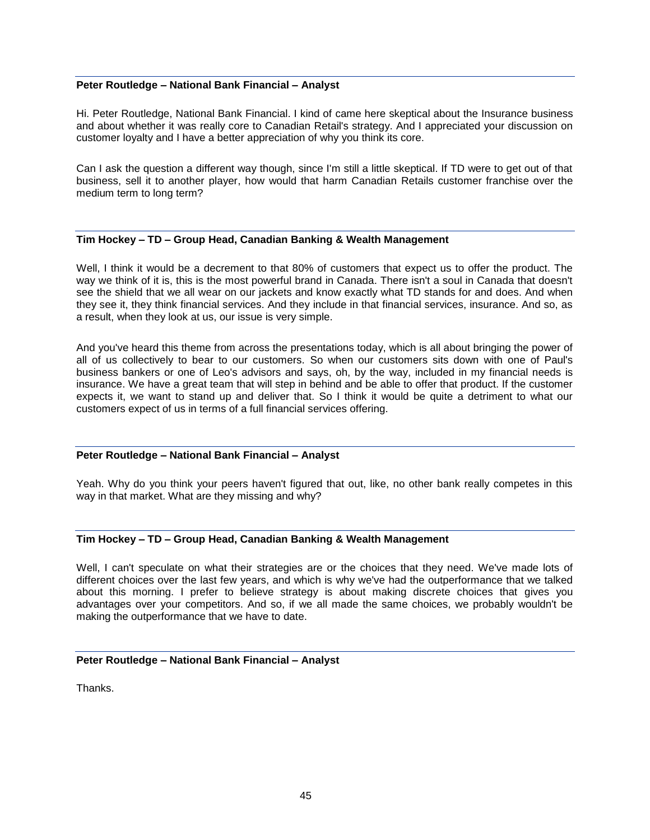#### **Peter Routledge – National Bank Financial – Analyst**

Hi. Peter Routledge, National Bank Financial. I kind of came here skeptical about the Insurance business and about whether it was really core to Canadian Retail's strategy. And I appreciated your discussion on customer loyalty and I have a better appreciation of why you think its core.

Can I ask the question a different way though, since I'm still a little skeptical. If TD were to get out of that business, sell it to another player, how would that harm Canadian Retails customer franchise over the medium term to long term?

# **Tim Hockey – TD – Group Head, Canadian Banking & Wealth Management**

Well, I think it would be a decrement to that 80% of customers that expect us to offer the product. The way we think of it is, this is the most powerful brand in Canada. There isn't a soul in Canada that doesn't see the shield that we all wear on our jackets and know exactly what TD stands for and does. And when they see it, they think financial services. And they include in that financial services, insurance. And so, as a result, when they look at us, our issue is very simple.

And you've heard this theme from across the presentations today, which is all about bringing the power of all of us collectively to bear to our customers. So when our customers sits down with one of Paul's business bankers or one of Leo's advisors and says, oh, by the way, included in my financial needs is insurance. We have a great team that will step in behind and be able to offer that product. If the customer expects it, we want to stand up and deliver that. So I think it would be quite a detriment to what our customers expect of us in terms of a full financial services offering.

#### **Peter Routledge – National Bank Financial – Analyst**

Yeah. Why do you think your peers haven't figured that out, like, no other bank really competes in this way in that market. What are they missing and why?

# **Tim Hockey – TD – Group Head, Canadian Banking & Wealth Management**

Well, I can't speculate on what their strategies are or the choices that they need. We've made lots of different choices over the last few years, and which is why we've had the outperformance that we talked about this morning. I prefer to believe strategy is about making discrete choices that gives you advantages over your competitors. And so, if we all made the same choices, we probably wouldn't be making the outperformance that we have to date.

# **Peter Routledge – National Bank Financial – Analyst**

Thanks.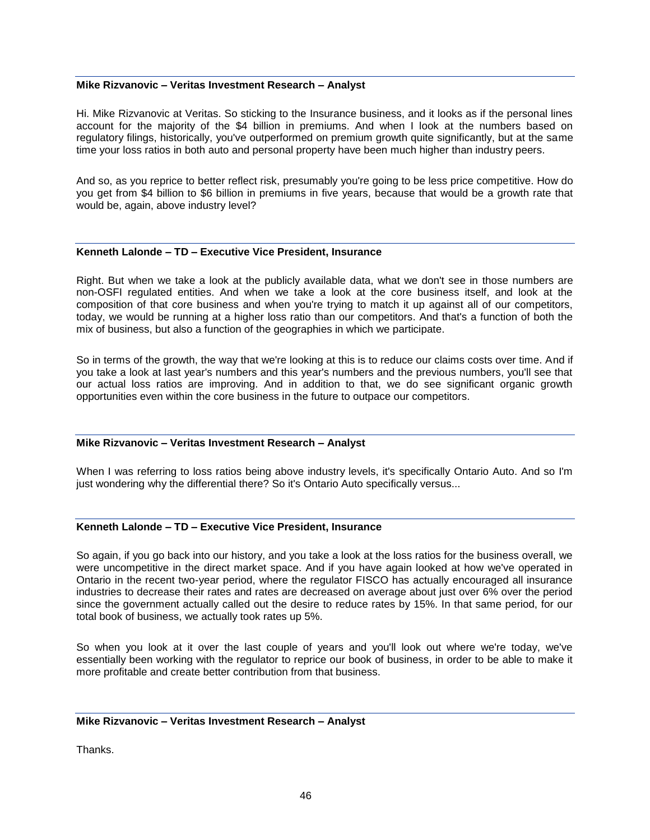#### **Mike Rizvanovic – Veritas Investment Research – Analyst**

Hi. Mike Rizvanovic at Veritas. So sticking to the Insurance business, and it looks as if the personal lines account for the majority of the \$4 billion in premiums. And when I look at the numbers based on regulatory filings, historically, you've outperformed on premium growth quite significantly, but at the same time your loss ratios in both auto and personal property have been much higher than industry peers.

And so, as you reprice to better reflect risk, presumably you're going to be less price competitive. How do you get from \$4 billion to \$6 billion in premiums in five years, because that would be a growth rate that would be, again, above industry level?

#### **Kenneth Lalonde – TD – Executive Vice President, Insurance**

Right. But when we take a look at the publicly available data, what we don't see in those numbers are non-OSFI regulated entities. And when we take a look at the core business itself, and look at the composition of that core business and when you're trying to match it up against all of our competitors, today, we would be running at a higher loss ratio than our competitors. And that's a function of both the mix of business, but also a function of the geographies in which we participate.

So in terms of the growth, the way that we're looking at this is to reduce our claims costs over time. And if you take a look at last year's numbers and this year's numbers and the previous numbers, you'll see that our actual loss ratios are improving. And in addition to that, we do see significant organic growth opportunities even within the core business in the future to outpace our competitors.

# **Mike Rizvanovic – Veritas Investment Research – Analyst**

When I was referring to loss ratios being above industry levels, it's specifically Ontario Auto. And so I'm just wondering why the differential there? So it's Ontario Auto specifically versus...

# **Kenneth Lalonde – TD – Executive Vice President, Insurance**

So again, if you go back into our history, and you take a look at the loss ratios for the business overall, we were uncompetitive in the direct market space. And if you have again looked at how we've operated in Ontario in the recent two-year period, where the regulator FISCO has actually encouraged all insurance industries to decrease their rates and rates are decreased on average about just over 6% over the period since the government actually called out the desire to reduce rates by 15%. In that same period, for our total book of business, we actually took rates up 5%.

So when you look at it over the last couple of years and you'll look out where we're today, we've essentially been working with the regulator to reprice our book of business, in order to be able to make it more profitable and create better contribution from that business.

#### **Mike Rizvanovic – Veritas Investment Research – Analyst**

**Thanks**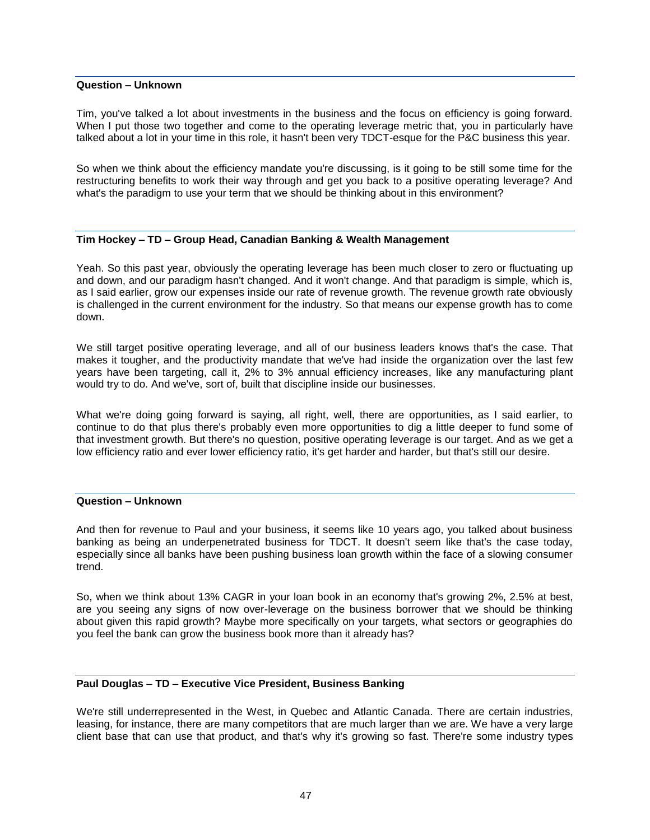#### **Question – Unknown**

Tim, you've talked a lot about investments in the business and the focus on efficiency is going forward. When I put those two together and come to the operating leverage metric that, you in particularly have talked about a lot in your time in this role, it hasn't been very TDCT-esque for the P&C business this year.

So when we think about the efficiency mandate you're discussing, is it going to be still some time for the restructuring benefits to work their way through and get you back to a positive operating leverage? And what's the paradigm to use your term that we should be thinking about in this environment?

# **Tim Hockey – TD – Group Head, Canadian Banking & Wealth Management**

Yeah. So this past year, obviously the operating leverage has been much closer to zero or fluctuating up and down, and our paradigm hasn't changed. And it won't change. And that paradigm is simple, which is, as I said earlier, grow our expenses inside our rate of revenue growth. The revenue growth rate obviously is challenged in the current environment for the industry. So that means our expense growth has to come down.

We still target positive operating leverage, and all of our business leaders knows that's the case. That makes it tougher, and the productivity mandate that we've had inside the organization over the last few years have been targeting, call it, 2% to 3% annual efficiency increases, like any manufacturing plant would try to do. And we've, sort of, built that discipline inside our businesses.

What we're doing going forward is saying, all right, well, there are opportunities, as I said earlier, to continue to do that plus there's probably even more opportunities to dig a little deeper to fund some of that investment growth. But there's no question, positive operating leverage is our target. And as we get a low efficiency ratio and ever lower efficiency ratio, it's get harder and harder, but that's still our desire.

# **Question – Unknown**

And then for revenue to Paul and your business, it seems like 10 years ago, you talked about business banking as being an underpenetrated business for TDCT. It doesn't seem like that's the case today, especially since all banks have been pushing business loan growth within the face of a slowing consumer trend.

So, when we think about 13% CAGR in your loan book in an economy that's growing 2%, 2.5% at best, are you seeing any signs of now over-leverage on the business borrower that we should be thinking about given this rapid growth? Maybe more specifically on your targets, what sectors or geographies do you feel the bank can grow the business book more than it already has?

#### **Paul Douglas – TD – Executive Vice President, Business Banking**

We're still underrepresented in the West, in Quebec and Atlantic Canada. There are certain industries, leasing, for instance, there are many competitors that are much larger than we are. We have a very large client base that can use that product, and that's why it's growing so fast. There're some industry types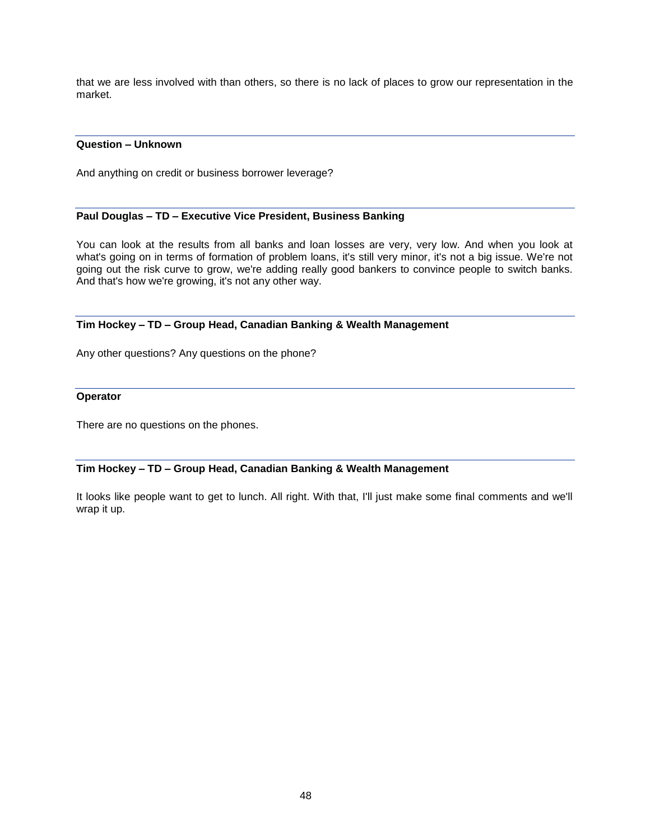that we are less involved with than others, so there is no lack of places to grow our representation in the market.

# **Question – Unknown**

And anything on credit or business borrower leverage?

# **Paul Douglas – TD – Executive Vice President, Business Banking**

You can look at the results from all banks and loan losses are very, very low. And when you look at what's going on in terms of formation of problem loans, it's still very minor, it's not a big issue. We're not going out the risk curve to grow, we're adding really good bankers to convince people to switch banks. And that's how we're growing, it's not any other way.

# **Tim Hockey – TD – Group Head, Canadian Banking & Wealth Management**

Any other questions? Any questions on the phone?

# **Operator**

There are no questions on the phones.

# **Tim Hockey – TD – Group Head, Canadian Banking & Wealth Management**

It looks like people want to get to lunch. All right. With that, I'll just make some final comments and we'll wrap it up.